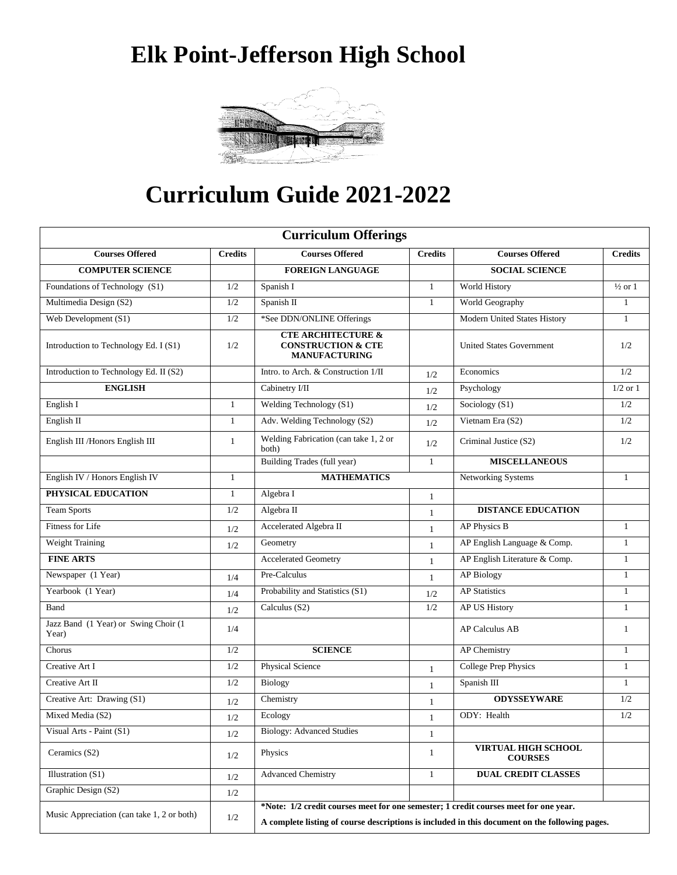# **Elk Point-Jefferson High School**



# **Curriculum Guide 2021-2022**

| <b>Curriculum Offerings</b>                   |                                             |                                                                                                |              |                                 |                    |  |  |
|-----------------------------------------------|---------------------------------------------|------------------------------------------------------------------------------------------------|--------------|---------------------------------|--------------------|--|--|
| <b>Courses Offered</b><br><b>Credits</b>      |                                             | <b>Courses Offered</b><br><b>Credits</b>                                                       |              | <b>Courses Offered</b>          | <b>Credits</b>     |  |  |
| <b>COMPUTER SCIENCE</b>                       |                                             | <b>FOREIGN LANGUAGE</b>                                                                        |              | <b>SOCIAL SCIENCE</b>           |                    |  |  |
| Foundations of Technology (S1)                | 1/2                                         | Spanish I<br>$\mathbf{1}$                                                                      |              | World History                   | $\frac{1}{2}$ or 1 |  |  |
| Multimedia Design (S2)                        | 1/2                                         | Spanish II<br>$\mathbf{1}$                                                                     |              | World Geography                 | $\mathbf{1}$       |  |  |
| Web Development (S1)                          | 1/2                                         | *See DDN/ONLINE Offerings                                                                      |              | Modern United States History    | $\mathbf{1}$       |  |  |
| Introduction to Technology Ed. I (S1)         | 1/2                                         | <b>CTE ARCHITECTURE &amp;</b><br><b>CONSTRUCTION &amp; CTE</b><br><b>MANUFACTURING</b>         |              | <b>United States Government</b> | 1/2                |  |  |
| Introduction to Technology Ed. II (S2)        |                                             | Intro. to Arch. & Construction 1/II<br>1/2                                                     |              | Economics                       | 1/2                |  |  |
| <b>ENGLISH</b>                                |                                             | Cabinetry I/II<br>1/2                                                                          |              | Psychology                      | $1/2$ or $1$       |  |  |
| English I                                     | 1                                           | Welding Technology (S1)<br>1/2                                                                 |              | Sociology (S1)                  | 1/2                |  |  |
| English II                                    | $\mathbf{1}$                                | Adv. Welding Technology (S2)                                                                   | 1/2          | Vietnam Era (S2)                | 1/2                |  |  |
| English III / Honors English III              | $\mathbf{1}$                                | Welding Fabrication (can take 1, 2 or<br>1/2<br>both)                                          |              | Criminal Justice (S2)           | 1/2                |  |  |
|                                               | Building Trades (full year)<br>$\mathbf{1}$ |                                                                                                |              | <b>MISCELLANEOUS</b>            |                    |  |  |
| English IV / Honors English IV                | $\mathbf{1}$                                | <b>MATHEMATICS</b>                                                                             |              | <b>Networking Systems</b>       | $\mathbf{1}$       |  |  |
| PHYSICAL EDUCATION                            | $\mathbf{1}$                                | Algebra I                                                                                      | $\mathbf{1}$ |                                 |                    |  |  |
| <b>Team Sports</b>                            | 1/2                                         | Algebra II                                                                                     | $\mathbf{1}$ | <b>DISTANCE EDUCATION</b>       |                    |  |  |
| Fitness for Life                              | 1/2                                         | Accelerated Algebra II                                                                         | $\mathbf{1}$ | AP Physics B                    | $\mathbf{1}$       |  |  |
| Weight Training                               | 1/2                                         | Geometry                                                                                       | $\mathbf{1}$ | AP English Language & Comp.     | $\mathbf{1}$       |  |  |
| <b>FINE ARTS</b>                              |                                             | <b>Accelerated Geometry</b>                                                                    | $\mathbf{1}$ | AP English Literature & Comp.   | $\mathbf{1}$       |  |  |
| Newspaper (1 Year)                            | 1/4                                         | Pre-Calculus                                                                                   | $\mathbf{1}$ | <b>AP Biology</b>               | $\mathbf{1}$       |  |  |
| Yearbook (1 Year)                             | 1/4                                         | Probability and Statistics (S1)<br>1/2                                                         |              | <b>AP Statistics</b>            | $\mathbf{1}$       |  |  |
| Band                                          | 1/2                                         | Calculus (S2)<br>1/2                                                                           |              | AP US History                   | $\mathbf{1}$       |  |  |
| Jazz Band (1 Year) or Swing Choir (1<br>Year) | 1/4                                         |                                                                                                |              | <b>AP Calculus AB</b>           | $\overline{1}$     |  |  |
| Chorus                                        | 1/2                                         | <b>SCIENCE</b>                                                                                 |              | AP Chemistry                    | $\mathbf{1}$       |  |  |
| Creative Art I                                | 1/2                                         | <b>Physical Science</b><br>$\mathbf{1}$                                                        |              | <b>College Prep Physics</b>     | $\mathbf{1}$       |  |  |
| Creative Art II                               | 1/2                                         | <b>Biology</b>                                                                                 | $\mathbf{1}$ | Spanish III                     | -1                 |  |  |
| Creative Art: Drawing (S1)                    | 1/2                                         | Chemistry                                                                                      | $\mathbf{1}$ | <b>ODYSSEYWARE</b>              | 1/2                |  |  |
| Mixed Media (S2)                              | $1/2\,$                                     | Ecology                                                                                        | $\mathbf{1}$ | ODY: Health                     | 1/2                |  |  |
| Visual Arts - Paint (S1)                      | 1/2                                         | <b>Biology: Advanced Studies</b>                                                               | $\mathbf{1}$ |                                 |                    |  |  |
| Ceramics (S2)                                 | 1/2                                         | VIRTUAL HIGH SCHOOL<br>Physics<br>$\mathbf{1}$<br><b>COURSES</b>                               |              |                                 |                    |  |  |
| Illustration (S1)                             | 1/2                                         | <b>Advanced Chemistry</b><br>$\mathbf{1}$                                                      |              | <b>DUAL CREDIT CLASSES</b>      |                    |  |  |
| Graphic Design (S2)                           | 1/2                                         |                                                                                                |              |                                 |                    |  |  |
| Music Appreciation (can take 1, 2 or both)    |                                             | *Note: 1/2 credit courses meet for one semester; 1 credit courses meet for one year.           |              |                                 |                    |  |  |
|                                               | 1/2                                         | A complete listing of course descriptions is included in this document on the following pages. |              |                                 |                    |  |  |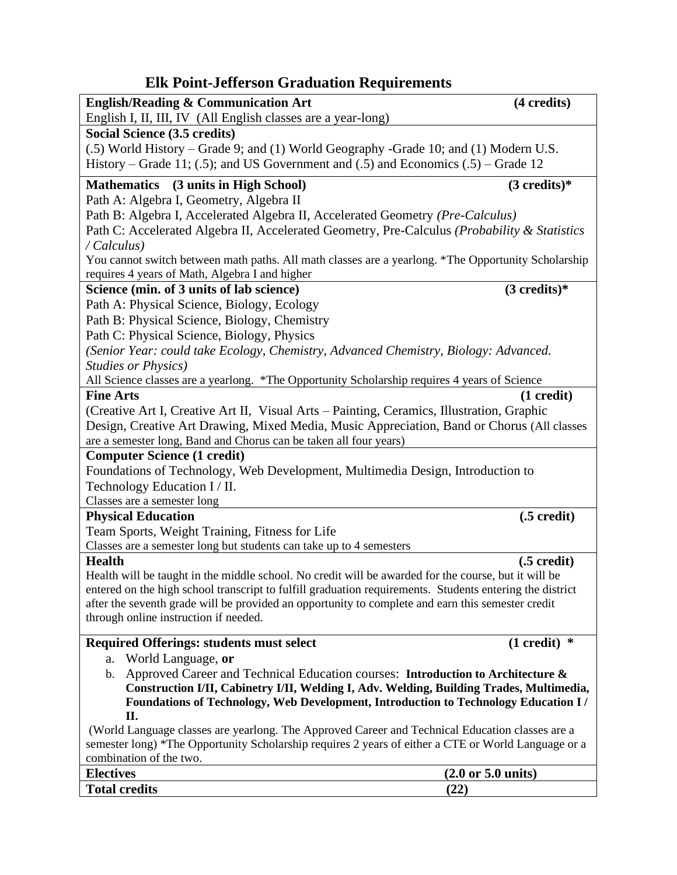# **Elk Point-Jefferson Graduation Requirements**

| <b>English/Reading &amp; Communication Art</b>                                                                        | (4 credits)                           |
|-----------------------------------------------------------------------------------------------------------------------|---------------------------------------|
| English I, II, III, IV (All English classes are a year-long)                                                          |                                       |
| Social Science (3.5 credits)                                                                                          |                                       |
| (.5) World History – Grade 9; and (1) World Geography -Grade 10; and (1) Modern U.S.                                  |                                       |
| History – Grade 11; (.5); and US Government and (.5) and Economics (.5) – Grade 12                                    |                                       |
| Mathematics (3 units in High School)                                                                                  | $(3 \text{ credits})^*$               |
| Path A: Algebra I, Geometry, Algebra II                                                                               |                                       |
| Path B: Algebra I, Accelerated Algebra II, Accelerated Geometry (Pre-Calculus)                                        |                                       |
| Path C: Accelerated Algebra II, Accelerated Geometry, Pre-Calculus (Probability & Statistics                          |                                       |
| / Calculus)                                                                                                           |                                       |
| You cannot switch between math paths. All math classes are a yearlong. *The Opportunity Scholarship                   |                                       |
| requires 4 years of Math, Algebra I and higher                                                                        |                                       |
| Science (min. of 3 units of lab science)                                                                              | $(3 \text{ credits})^*$               |
| Path A: Physical Science, Biology, Ecology                                                                            |                                       |
| Path B: Physical Science, Biology, Chemistry                                                                          |                                       |
| Path C: Physical Science, Biology, Physics                                                                            |                                       |
| (Senior Year: could take Ecology, Chemistry, Advanced Chemistry, Biology: Advanced.                                   |                                       |
| <b>Studies or Physics)</b>                                                                                            |                                       |
| All Science classes are a yearlong. *The Opportunity Scholarship requires 4 years of Science                          |                                       |
| <b>Fine Arts</b>                                                                                                      | $(1 \ncredit)$                        |
| (Creative Art I, Creative Art II, Visual Arts – Painting, Ceramics, Illustration, Graphic                             |                                       |
| Design, Creative Art Drawing, Mixed Media, Music Appreciation, Band or Chorus (All classes                            |                                       |
| are a semester long, Band and Chorus can be taken all four years)                                                     |                                       |
| <b>Computer Science (1 credit)</b>                                                                                    |                                       |
| Foundations of Technology, Web Development, Multimedia Design, Introduction to                                        |                                       |
| Technology Education I / II.                                                                                          |                                       |
| Classes are a semester long                                                                                           |                                       |
| <b>Physical Education</b>                                                                                             | $(.5 \,\mathrm{credit})$              |
| Team Sports, Weight Training, Fitness for Life<br>Classes are a semester long but students can take up to 4 semesters |                                       |
| <b>Health</b>                                                                                                         | $(.5 \,\mathrm{credit})$              |
| Health will be taught in the middle school. No credit will be awarded for the course, but it will be                  |                                       |
| entered on the high school transcript to fulfill graduation requirements. Students entering the district              |                                       |
| after the seventh grade will be provided an opportunity to complete and earn this semester credit                     |                                       |
| through online instruction if needed.                                                                                 |                                       |
| <b>Required Offerings: students must select</b>                                                                       | $(1 \text{ credit})$ *                |
| World Language, or<br>a.                                                                                              |                                       |
| Approved Career and Technical Education courses: Introduction to Architecture $\&$<br>b.                              |                                       |
| Construction I/II, Cabinetry I/II, Welding I, Adv. Welding, Building Trades, Multimedia,                              |                                       |
| Foundations of Technology, Web Development, Introduction to Technology Education I/                                   |                                       |
| П.                                                                                                                    |                                       |
| (World Language classes are yearlong. The Approved Career and Technical Education classes are a                       |                                       |
| semester long) *The Opportunity Scholarship requires 2 years of either a CTE or World Language or a                   |                                       |
| combination of the two.                                                                                               |                                       |
| <b>Electives</b>                                                                                                      | $(2.0 \text{ or } 5.0 \text{ units})$ |
| <b>Total credits</b><br>(22)                                                                                          |                                       |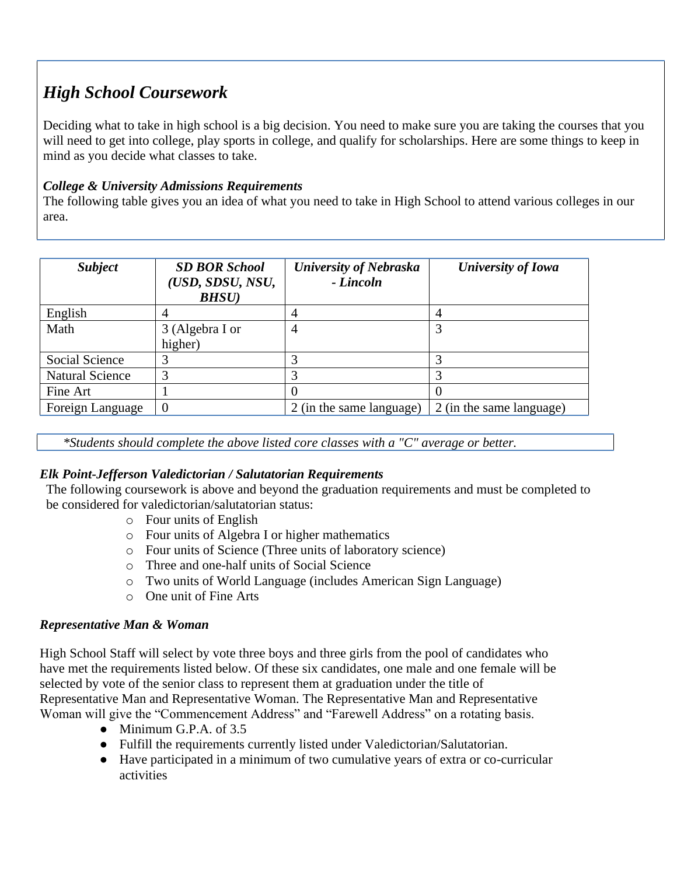# *High School Coursework*

Deciding what to take in high school is a big decision. You need to make sure you are taking the courses that you will need to get into college, play sports in college, and qualify for scholarships. Here are some things to keep in mind as you decide what classes to take.

## *College & University Admissions Requirements*

The following table gives you an idea of what you need to take in High School to attend various colleges in our area.

| <b>Subject</b>         | <b>SD BOR School</b><br>(USD, SDSU, NSU,<br><b>BHSU</b> ) | <b>University of Nebraska</b><br>- Lincoln | <b>University of Iowa</b> |
|------------------------|-----------------------------------------------------------|--------------------------------------------|---------------------------|
| English                |                                                           |                                            | 4                         |
| Math                   | 3 (Algebra I or<br>higher)                                | 4                                          |                           |
| <b>Social Science</b>  |                                                           |                                            |                           |
| <b>Natural Science</b> |                                                           |                                            |                           |
| Fine Art               |                                                           |                                            |                           |
| Foreign Language       |                                                           | 2 (in the same language)                   | 2 (in the same language)  |

*\*Students should complete the above listed core classes with a "C" average or better.*

## *Elk Point-Jefferson Valedictorian / Salutatorian Requirements*

The following coursework is above and beyond the graduation requirements and must be completed to be considered for valedictorian/salutatorian status:

- o Four units of English
- o Four units of Algebra I or higher mathematics
- o Four units of Science (Three units of laboratory science)
- o Three and one-half units of Social Science
- o Two units of World Language (includes American Sign Language)
- o One unit of Fine Arts

#### *Representative Man & Woman*

High School Staff will select by vote three boys and three girls from the pool of candidates who have met the requirements listed below. Of these six candidates, one male and one female will be selected by vote of the senior class to represent them at graduation under the title of Representative Man and Representative Woman. The Representative Man and Representative Woman will give the "Commencement Address" and "Farewell Address" on a rotating basis.

- $\bullet$  Minimum G.P.A. of 3.5
- Fulfill the requirements currently listed under Valedictorian/Salutatorian.
- Have participated in a minimum of two cumulative years of extra or co-curricular activities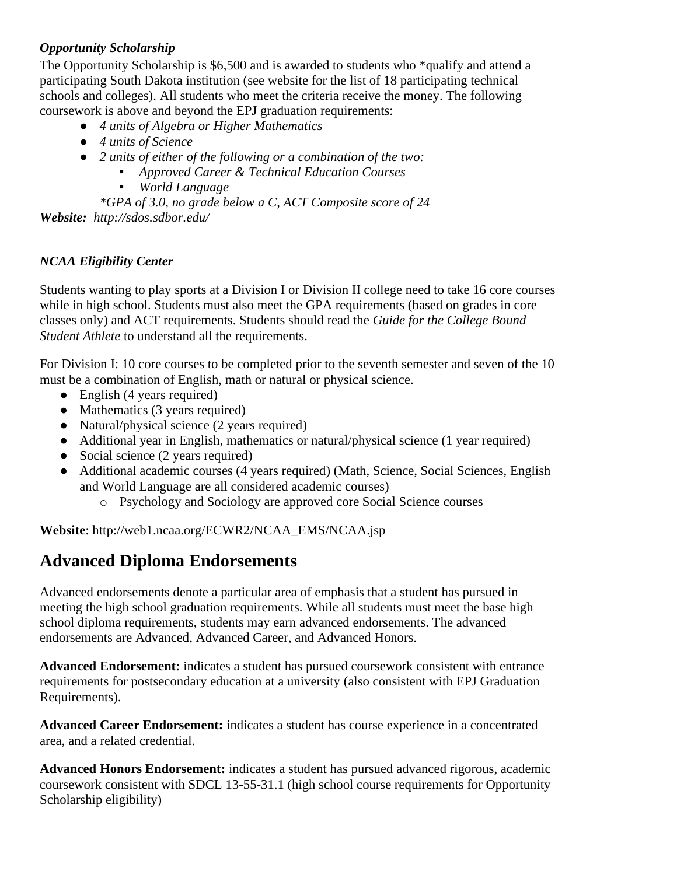## *Opportunity Scholarship*

The Opportunity Scholarship is \$6,500 and is awarded to students who \*qualify and attend a participating South Dakota institution (see website for the list of 18 participating technical schools and colleges). All students who meet the criteria receive the money. The following coursework is above and beyond the EPJ graduation requirements:

- *4 units of Algebra or Higher Mathematics*
- *4 units of Science*
- *2 units of either of the following or a combination of the two:*
	- *Approved Career & Technical Education Courses*
	- *World Language*

*\*GPA of 3.0, no grade below a C, ACT Composite score of 24 Website: http://sdos.sdbor.edu/* 

### *NCAA Eligibility Center*

Students wanting to play sports at a Division I or Division II college need to take 16 core courses while in high school. Students must also meet the GPA requirements (based on grades in core classes only) and ACT requirements. Students should read the *Guide for the College Bound Student Athlete* to understand all the requirements.

For Division I: 10 core courses to be completed prior to the seventh semester and seven of the 10 must be a combination of English, math or natural or physical science.

- English (4 years required)
- Mathematics (3 years required)
- Natural/physical science (2 years required)
- Additional year in English, mathematics or natural/physical science (1 year required)
- Social science (2 years required)
- Additional academic courses (4 years required) (Math, Science, Social Sciences, English and World Language are all considered academic courses)
	- o Psychology and Sociology are approved core Social Science courses

**Website**: http://web1.ncaa.org/ECWR2/NCAA\_EMS/NCAA.jsp

## **Advanced Diploma Endorsements**

Advanced endorsements denote a particular area of emphasis that a student has pursued in meeting the high school graduation requirements. While all students must meet the base high school diploma requirements, students may earn advanced endorsements. The advanced endorsements are Advanced, Advanced Career, and Advanced Honors.

**Advanced Endorsement:** indicates a student has pursued coursework consistent with entrance requirements for postsecondary education at a university (also consistent with EPJ Graduation Requirements).

**Advanced Career Endorsement:** indicates a student has course experience in a concentrated area, and a related credential.

**Advanced Honors Endorsement:** indicates a student has pursued advanced rigorous, academic coursework consistent with SDCL 13-55-31.1 (high school course requirements for Opportunity Scholarship eligibility)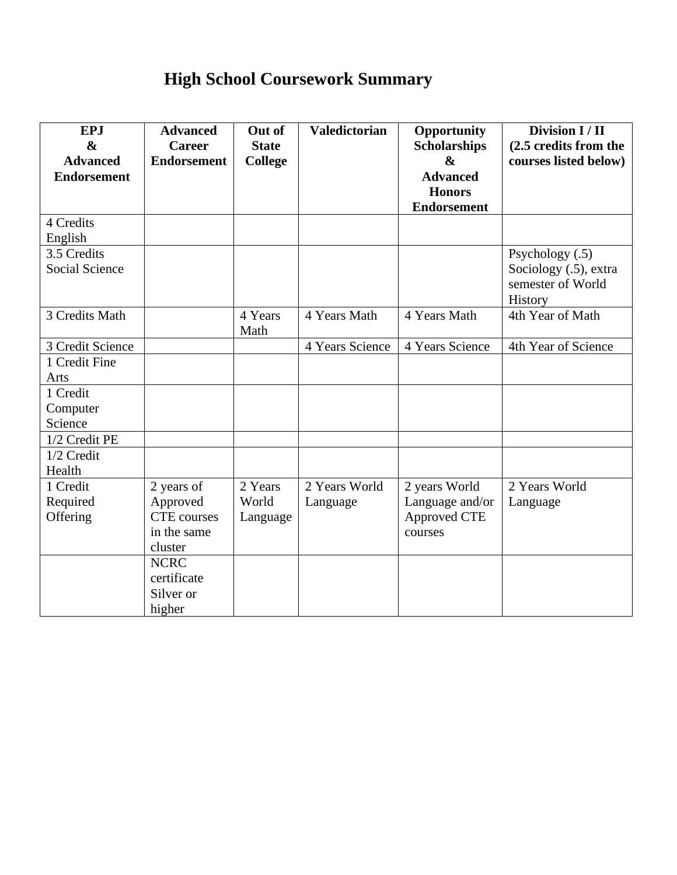# **High School Coursework Summary**

| <b>EPJ</b>            | <b>Advanced</b>    | Out of       | <b>Valedictorian</b> | Opportunity         | Division I / II       |
|-----------------------|--------------------|--------------|----------------------|---------------------|-----------------------|
| $\boldsymbol{\&}$     | <b>Career</b>      | <b>State</b> |                      | <b>Scholarships</b> | (2.5 credits from the |
| <b>Advanced</b>       | <b>Endorsement</b> | College      |                      | $\boldsymbol{\&}$   | courses listed below) |
| <b>Endorsement</b>    |                    |              |                      | <b>Advanced</b>     |                       |
|                       |                    |              |                      | <b>Honors</b>       |                       |
|                       |                    |              |                      | <b>Endorsement</b>  |                       |
| 4 Credits             |                    |              |                      |                     |                       |
| English               |                    |              |                      |                     |                       |
| 3.5 Credits           |                    |              |                      |                     | Psychology (.5)       |
| <b>Social Science</b> |                    |              |                      |                     | Sociology (.5), extra |
|                       |                    |              |                      |                     | semester of World     |
|                       |                    |              |                      |                     | History               |
| 3 Credits Math        |                    | 4 Years      | 4 Years Math         | 4 Years Math        | 4th Year of Math      |
|                       |                    | Math         |                      |                     |                       |
| 3 Credit Science      |                    |              | 4 Years Science      | 4 Years Science     | 4th Year of Science   |
| 1 Credit Fine         |                    |              |                      |                     |                       |
| Arts                  |                    |              |                      |                     |                       |
| 1 Credit              |                    |              |                      |                     |                       |
| Computer              |                    |              |                      |                     |                       |
| Science               |                    |              |                      |                     |                       |
| 1/2 Credit PE         |                    |              |                      |                     |                       |
| 1/2 Credit            |                    |              |                      |                     |                       |
| Health                |                    |              |                      |                     |                       |
| 1 Credit              | 2 years of         | 2 Years      | 2 Years World        | 2 years World       | 2 Years World         |
| Required              | Approved           | World        | Language             | Language and/or     | Language              |
| Offering              | <b>CTE</b> courses | Language     |                      | Approved CTE        |                       |
|                       | in the same        |              |                      | courses             |                       |
|                       | cluster            |              |                      |                     |                       |
|                       | <b>NCRC</b>        |              |                      |                     |                       |
|                       | certificate        |              |                      |                     |                       |
|                       | Silver or          |              |                      |                     |                       |
|                       | higher             |              |                      |                     |                       |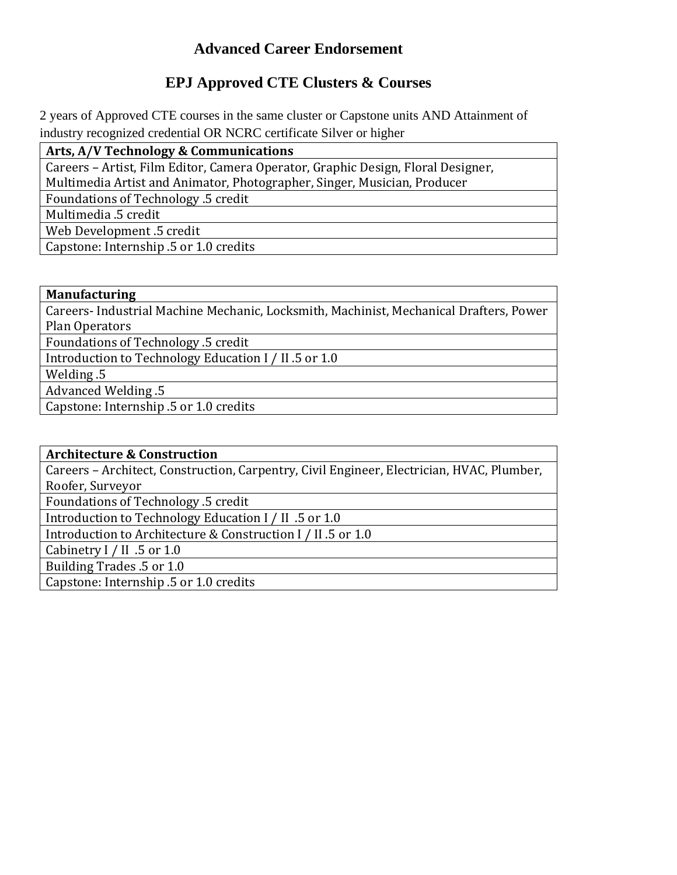## **Advanced Career Endorsement**

## **EPJ Approved CTE Clusters & Courses**

2 years of Approved CTE courses in the same cluster or Capstone units AND Attainment of industry recognized credential OR NCRC certificate Silver or higher

**Arts, A/V Technology & Communications**

Careers – Artist, Film Editor, Camera Operator, Graphic Design, Floral Designer, Multimedia Artist and Animator, Photographer, Singer, Musician, Producer

Foundations of Technology .5 credit

Multimedia .5 credit

Web Development .5 credit

Capstone: Internship .5 or 1.0 credits

#### **Manufacturing**

Careers- Industrial Machine Mechanic, Locksmith, Machinist, Mechanical Drafters, Power Plan Operators

Foundations of Technology .5 credit

Introduction to Technology Education I / II .5 or 1.0

Welding .5

Advanced Welding .5

Capstone: Internship .5 or 1.0 credits

**Architecture & Construction** 

Careers – Architect, Construction, Carpentry, Civil Engineer, Electrician, HVAC, Plumber, Roofer, Surveyor

Foundations of Technology .5 credit

Introduction to Technology Education I / II .5 or 1.0

Introduction to Architecture & Construction I / II .5 or 1.0

Cabinetry I / II .5 or 1.0

Building Trades .5 or 1.0

Capstone: Internship .5 or 1.0 credits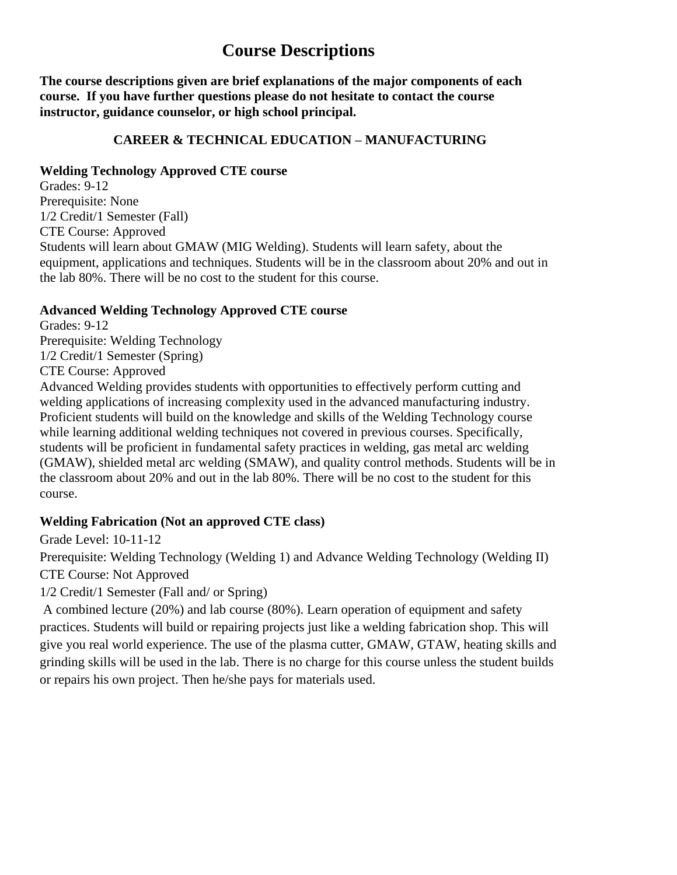## **Course Descriptions**

**The course descriptions given are brief explanations of the major components of each course. If you have further questions please do not hesitate to contact the course instructor, guidance counselor, or high school principal.**

#### **CAREER & TECHNICAL EDUCATION – MANUFACTURING**

### **Welding Technology Approved CTE course**

Grades: 9-12 Prerequisite: None 1/2 Credit/1 Semester (Fall) CTE Course: Approved Students will learn about GMAW (MIG Welding). Students will learn safety, about the equipment, applications and techniques. Students will be in the classroom about 20% and out in the lab 80%. There will be no cost to the student for this course.

### **Advanced Welding Technology Approved CTE course**

Grades: 9-12 Prerequisite: Welding Technology 1/2 Credit/1 Semester (Spring) CTE Course: Approved

Advanced Welding provides students with opportunities to effectively perform cutting and welding applications of increasing complexity used in the advanced manufacturing industry. Proficient students will build on the knowledge and skills of the Welding Technology course while learning additional welding techniques not covered in previous courses. Specifically, students will be proficient in fundamental safety practices in welding, gas metal arc welding (GMAW), shielded metal arc welding (SMAW), and quality control methods. Students will be in the classroom about 20% and out in the lab 80%. There will be no cost to the student for this course.

## **Welding Fabrication (Not an approved CTE class)**

Grade Level: 10-11-12

Prerequisite: Welding Technology (Welding 1) and Advance Welding Technology (Welding II) CTE Course: Not Approved

1/2 Credit/1 Semester (Fall and/ or Spring)

A combined lecture (20%) and lab course (80%). Learn operation of equipment and safety practices. Students will build or repairing projects just like a welding fabrication shop. This will give you real world experience. The use of the plasma cutter, GMAW, GTAW, heating skills and grinding skills will be used in the lab. There is no charge for this course unless the student builds or repairs his own project. Then he/she pays for materials used.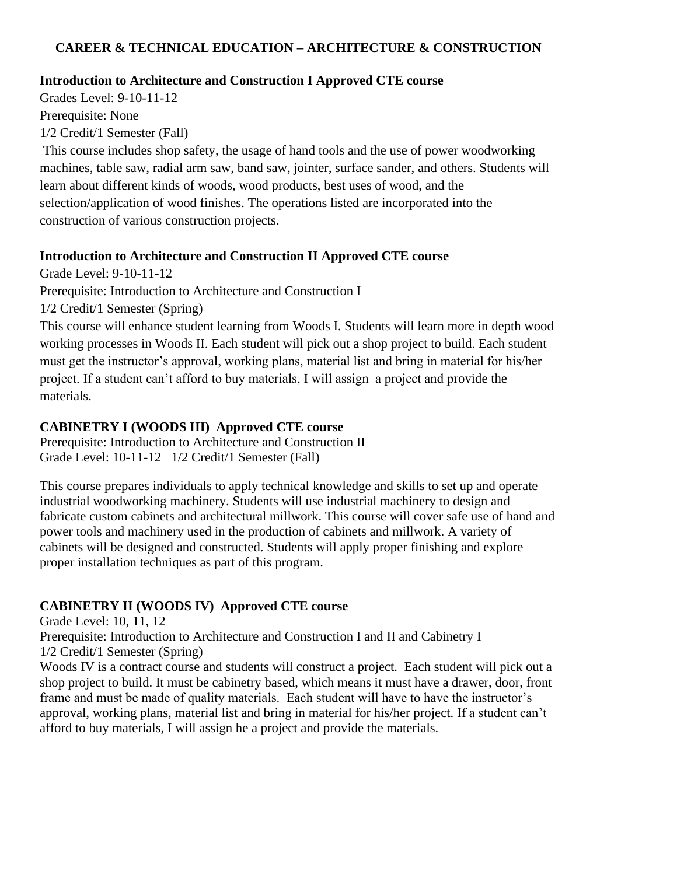## **CAREER & TECHNICAL EDUCATION – ARCHITECTURE & CONSTRUCTION**

#### **Introduction to Architecture and Construction I Approved CTE course**

Grades Level: 9-10-11-12 Prerequisite: None 1/2 Credit/1 Semester (Fall)

This course includes shop safety, the usage of hand tools and the use of power woodworking machines, table saw, radial arm saw, band saw, jointer, surface sander, and others. Students will learn about different kinds of woods, wood products, best uses of wood, and the selection/application of wood finishes. The operations listed are incorporated into the construction of various construction projects.

#### **Introduction to Architecture and Construction II Approved CTE course**

Grade Level: 9-10-11-12

Prerequisite: Introduction to Architecture and Construction I

1/2 Credit/1 Semester (Spring)

This course will enhance student learning from Woods I. Students will learn more in depth wood working processes in Woods II. Each student will pick out a shop project to build. Each student must get the instructor's approval, working plans, material list and bring in material for his/her project. If a student can't afford to buy materials, I will assign a project and provide the materials.

## **CABINETRY I (WOODS III) Approved CTE course**

Prerequisite: Introduction to Architecture and Construction II Grade Level: 10-11-12 1/2 Credit/1 Semester (Fall)

This course prepares individuals to apply technical knowledge and skills to set up and operate industrial woodworking machinery. Students will use industrial machinery to design and fabricate custom cabinets and architectural millwork. This course will cover safe use of hand and power tools and machinery used in the production of cabinets and millwork. A variety of cabinets will be designed and constructed. Students will apply proper finishing and explore proper installation techniques as part of this program.

## **CABINETRY II (WOODS IV) Approved CTE course**

Grade Level: 10, 11, 12

Prerequisite: Introduction to Architecture and Construction I and II and Cabinetry I 1/2 Credit/1 Semester (Spring)

Woods IV is a contract course and students will construct a project. Each student will pick out a shop project to build. It must be cabinetry based, which means it must have a drawer, door, front frame and must be made of quality materials. Each student will have to have the instructor's approval, working plans, material list and bring in material for his/her project. If a student can't afford to buy materials, I will assign he a project and provide the materials.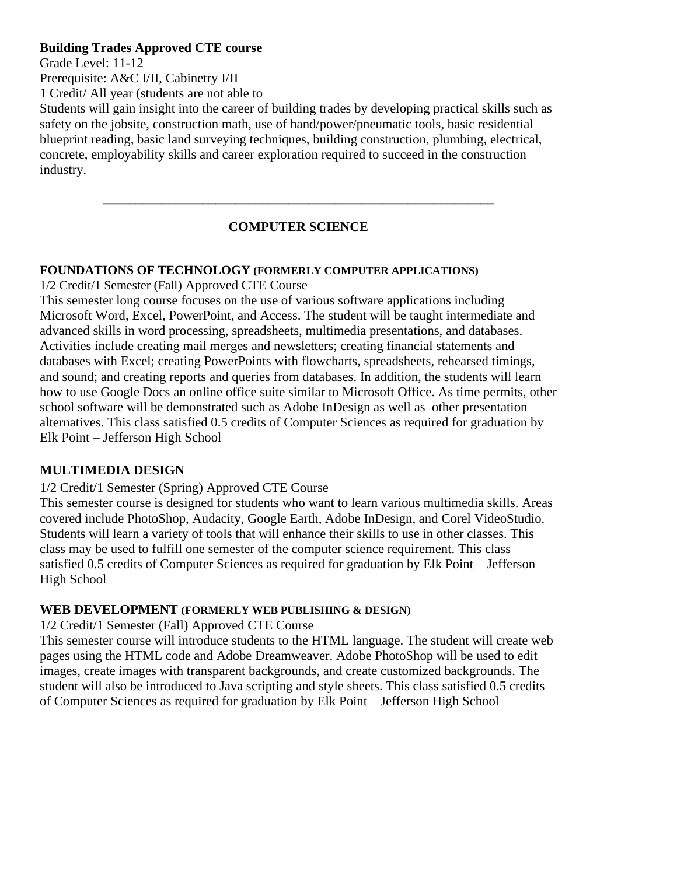#### **Building Trades Approved CTE course**

Grade Level: 11-12

Prerequisite: A&C I/II, Cabinetry I/II

1 Credit/ All year (students are not able to

Students will gain insight into the career of building trades by developing practical skills such as safety on the jobsite, construction math, use of hand/power/pneumatic tools, basic residential blueprint reading, basic land surveying techniques, building construction, plumbing, electrical, concrete, employability skills and career exploration required to succeed in the construction industry.

## **COMPUTER SCIENCE**

**\_\_\_\_\_\_\_\_\_\_\_\_\_\_\_\_\_\_\_\_\_\_\_\_\_\_\_\_\_\_\_\_\_\_\_\_\_\_\_\_\_\_\_\_\_\_\_\_\_\_\_\_\_\_\_\_\_\_\_**

#### **FOUNDATIONS OF TECHNOLOGY (FORMERLY COMPUTER APPLICATIONS)**

1/2 Credit/1 Semester (Fall) Approved CTE Course

This semester long course focuses on the use of various software applications including Microsoft Word, Excel, PowerPoint, and Access. The student will be taught intermediate and advanced skills in word processing, spreadsheets, multimedia presentations, and databases. Activities include creating mail merges and newsletters; creating financial statements and databases with Excel; creating PowerPoints with flowcharts, spreadsheets, rehearsed timings, and sound; and creating reports and queries from databases. In addition, the students will learn how to use Google Docs an online office suite similar to Microsoft Office. As time permits, other school software will be demonstrated such as Adobe InDesign as well as other presentation alternatives. This class satisfied 0.5 credits of Computer Sciences as required for graduation by Elk Point – Jefferson High School

#### **MULTIMEDIA DESIGN**

#### 1/2 Credit/1 Semester (Spring) Approved CTE Course

This semester course is designed for students who want to learn various multimedia skills. Areas covered include PhotoShop, Audacity, Google Earth, Adobe InDesign, and Corel VideoStudio. Students will learn a variety of tools that will enhance their skills to use in other classes. This class may be used to fulfill one semester of the computer science requirement. This class satisfied 0.5 credits of Computer Sciences as required for graduation by Elk Point – Jefferson High School

#### **WEB DEVELOPMENT (FORMERLY WEB PUBLISHING & DESIGN)**

1/2 Credit/1 Semester (Fall) Approved CTE Course

This semester course will introduce students to the HTML language. The student will create web pages using the HTML code and Adobe Dreamweaver. Adobe PhotoShop will be used to edit images, create images with transparent backgrounds, and create customized backgrounds. The student will also be introduced to Java scripting and style sheets. This class satisfied 0.5 credits of Computer Sciences as required for graduation by Elk Point – Jefferson High School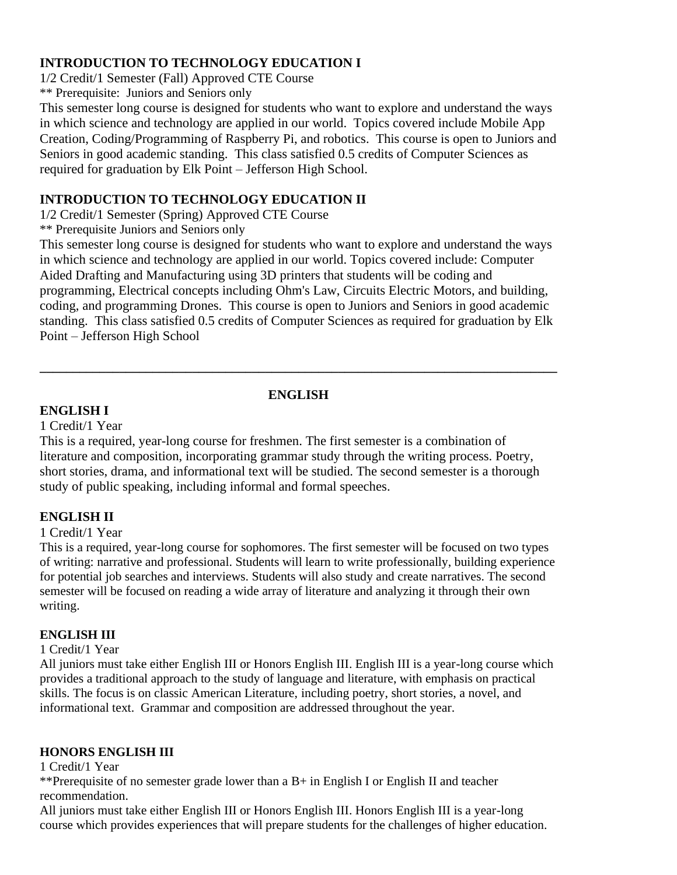#### **INTRODUCTION TO TECHNOLOGY EDUCATION I**

1/2 Credit/1 Semester (Fall) Approved CTE Course \*\* Prerequisite: Juniors and Seniors only

This semester long course is designed for students who want to explore and understand the ways in which science and technology are applied in our world. Topics covered include Mobile App Creation, Coding/Programming of Raspberry Pi, and robotics. This course is open to Juniors and Seniors in good academic standing. This class satisfied 0.5 credits of Computer Sciences as required for graduation by Elk Point – Jefferson High School.

#### **INTRODUCTION TO TECHNOLOGY EDUCATION II**

1/2 Credit/1 Semester (Spring) Approved CTE Course

\*\* Prerequisite Juniors and Seniors only

This semester long course is designed for students who want to explore and understand the ways in which science and technology are applied in our world. Topics covered include: Computer Aided Drafting and Manufacturing using 3D printers that students will be coding and programming, Electrical concepts including Ohm's Law, Circuits Electric Motors, and building, coding, and programming Drones. This course is open to Juniors and Seniors in good academic standing. This class satisfied 0.5 credits of Computer Sciences as required for graduation by Elk Point – Jefferson High School

**\_\_\_\_\_\_\_\_\_\_\_\_\_\_\_\_\_\_\_\_\_\_\_\_\_\_\_\_\_\_\_\_\_\_\_\_\_\_\_\_\_\_\_\_\_\_\_\_\_\_\_\_\_\_\_\_\_\_\_\_\_\_\_\_\_\_\_\_\_\_\_\_\_\_\_\_\_\_**

## **ENGLISH**

### **ENGLISH I**

1 Credit/1 Year

This is a required, year-long course for freshmen. The first semester is a combination of literature and composition, incorporating grammar study through the writing process. Poetry, short stories, drama, and informational text will be studied. The second semester is a thorough study of public speaking, including informal and formal speeches.

## **ENGLISH II**

#### 1 Credit/1 Year

This is a required, year-long course for sophomores. The first semester will be focused on two types of writing: narrative and professional. Students will learn to write professionally, building experience for potential job searches and interviews. Students will also study and create narratives. The second semester will be focused on reading a wide array of literature and analyzing it through their own writing.

#### **ENGLISH III**

#### 1 Credit/1 Year

All juniors must take either English III or Honors English III. English III is a year-long course which provides a traditional approach to the study of language and literature, with emphasis on practical skills. The focus is on classic American Literature, including poetry, short stories, a novel, and informational text. Grammar and composition are addressed throughout the year.

#### **HONORS ENGLISH III**

1 Credit/1 Year

\*\*Prerequisite of no semester grade lower than a B+ in English I or English II and teacher recommendation.

All juniors must take either English III or Honors English III. Honors English III is a year-long course which provides experiences that will prepare students for the challenges of higher education.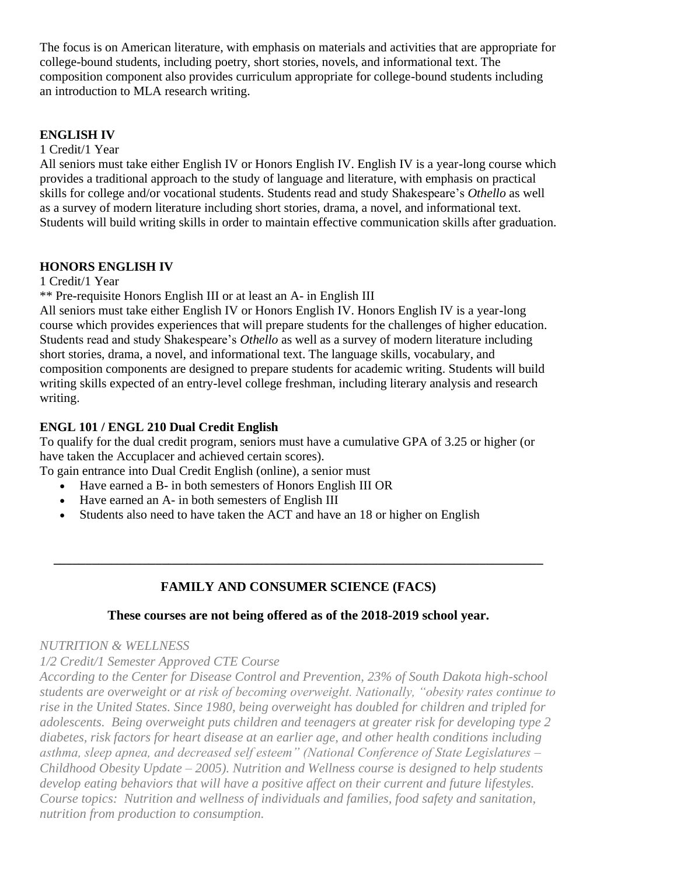The focus is on American literature, with emphasis on materials and activities that are appropriate for college-bound students, including poetry, short stories, novels, and informational text. The composition component also provides curriculum appropriate for college-bound students including an introduction to MLA research writing.

#### **ENGLISH IV**

1 Credit/1 Year

All seniors must take either English IV or Honors English IV. English IV is a year-long course which provides a traditional approach to the study of language and literature, with emphasis on practical skills for college and/or vocational students. Students read and study Shakespeare's *Othello* as well as a survey of modern literature including short stories, drama, a novel, and informational text. Students will build writing skills in order to maintain effective communication skills after graduation.

### **HONORS ENGLISH IV**

1 Credit/1 Year

\*\* Pre-requisite Honors English III or at least an A- in English III

All seniors must take either English IV or Honors English IV. Honors English IV is a year-long course which provides experiences that will prepare students for the challenges of higher education. Students read and study Shakespeare's *Othello* as well as a survey of modern literature including short stories, drama, a novel, and informational text. The language skills, vocabulary, and composition components are designed to prepare students for academic writing. Students will build writing skills expected of an entry-level college freshman, including literary analysis and research writing.

### **ENGL 101 / ENGL 210 Dual Credit English**

To qualify for the dual credit program, seniors must have a cumulative GPA of 3.25 or higher (or have taken the Accuplacer and achieved certain scores).

To gain entrance into Dual Credit English (online), a senior must

- Have earned a B- in both semesters of Honors English III OR
- Have earned an A- in both semesters of English III
- Students also need to have taken the ACT and have an 18 or higher on English

## **FAMILY AND CONSUMER SCIENCE (FACS)**

**\_\_\_\_\_\_\_\_\_\_\_\_\_\_\_\_\_\_\_\_\_\_\_\_\_\_\_\_\_\_\_\_\_\_\_\_\_\_\_\_\_\_\_\_\_\_\_\_\_\_\_\_\_\_\_\_\_\_\_\_\_\_\_\_\_\_\_\_\_\_\_\_\_\_\_\_\_**

#### **These courses are not being offered as of the 2018-2019 school year.**

#### *NUTRITION & WELLNESS*

*1/2 Credit/1 Semester Approved CTE Course*

*According to the Center for Disease Control and Prevention, 23% of South Dakota high-school students are overweight or at risk of becoming overweight. Nationally, "obesity rates continue to rise in the United States. Since 1980, being overweight has doubled for children and tripled for adolescents. Being overweight puts children and teenagers at greater risk for developing type 2 diabetes, risk factors for heart disease at an earlier age, and other health conditions including asthma, sleep apnea, and decreased self esteem" (National Conference of State Legislatures – Childhood Obesity Update – 2005). Nutrition and Wellness course is designed to help students develop eating behaviors that will have a positive affect on their current and future lifestyles. Course topics: Nutrition and wellness of individuals and families, food safety and sanitation, nutrition from production to consumption.*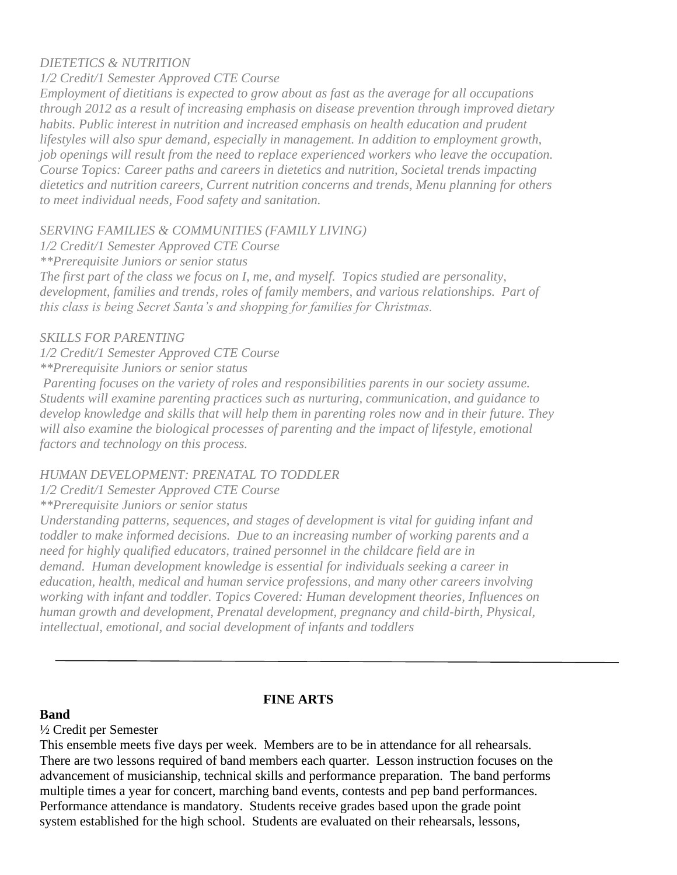#### *DIETETICS & NUTRITION*

#### *1/2 Credit/1 Semester Approved CTE Course*

*Employment of dietitians is expected to grow about as fast as the average for all occupations through 2012 as a result of increasing emphasis on disease prevention through improved dietary habits. Public interest in nutrition and increased emphasis on health education and prudent lifestyles will also spur demand, especially in management. In addition to employment growth, job openings will result from the need to replace experienced workers who leave the occupation. Course Topics: Career paths and careers in dietetics and nutrition, Societal trends impacting dietetics and nutrition careers, Current nutrition concerns and trends, Menu planning for others to meet individual needs, Food safety and sanitation.*

#### *SERVING FAMILIES & COMMUNITIES (FAMILY LIVING)*

*1/2 Credit/1 Semester Approved CTE Course*

*\*\*Prerequisite Juniors or senior status*

*The first part of the class we focus on I, me, and myself. Topics studied are personality, development, families and trends, roles of family members, and various relationships. Part of this class is being Secret Santa's and shopping for families for Christmas.*

#### *SKILLS FOR PARENTING*

*1/2 Credit/1 Semester Approved CTE Course \*\*Prerequisite Juniors or senior status*

*Parenting focuses on the variety of roles and responsibilities parents in our society assume. Students will examine parenting practices such as nurturing, communication, and guidance to develop knowledge and skills that will help them in parenting roles now and in their future. They will also examine the biological processes of parenting and the impact of lifestyle, emotional factors and technology on this process.*

#### *HUMAN DEVELOPMENT: PRENATAL TO TODDLER*

*1/2 Credit/1 Semester Approved CTE Course*

*\*\*Prerequisite Juniors or senior status*

*Understanding patterns, sequences, and stages of development is vital for guiding infant and toddler to make informed decisions. Due to an increasing number of working parents and a need for highly qualified educators, trained personnel in the childcare field are in demand. Human development knowledge is essential for individuals seeking a career in education, health, medical and human service professions, and many other careers involving working with infant and toddler. Topics Covered: Human development theories, Influences on human growth and development, Prenatal development, pregnancy and child-birth, Physical, intellectual, emotional, and social development of infants and toddlers*

## **FINE ARTS**

#### **Band**

#### ½ Credit per Semester

This ensemble meets five days per week. Members are to be in attendance for all rehearsals. There are two lessons required of band members each quarter. Lesson instruction focuses on the advancement of musicianship, technical skills and performance preparation. The band performs multiple times a year for concert, marching band events, contests and pep band performances. Performance attendance is mandatory. Students receive grades based upon the grade point system established for the high school. Students are evaluated on their rehearsals, lessons,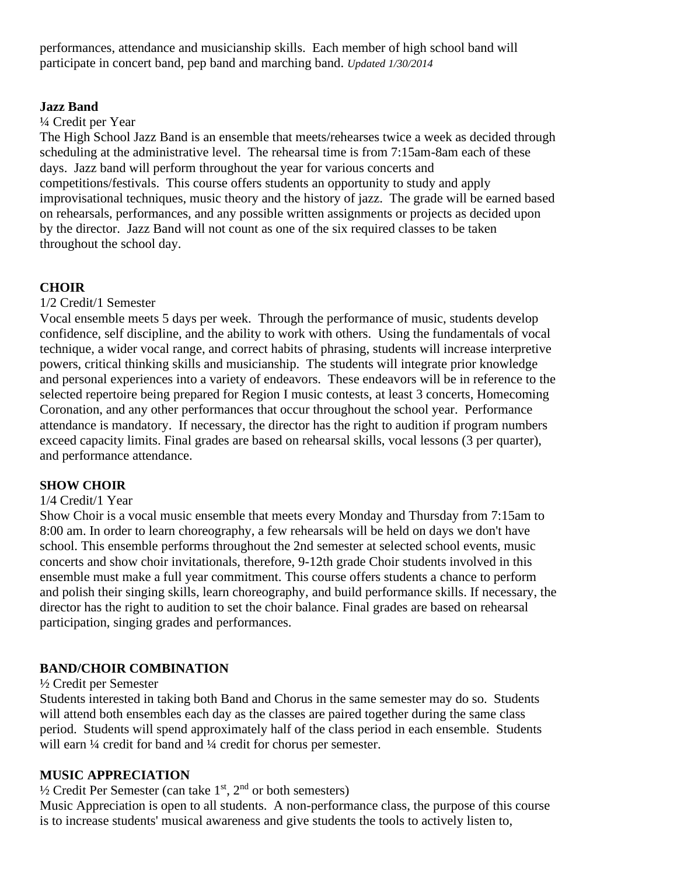performances, attendance and musicianship skills. Each member of high school band will participate in concert band, pep band and marching band. *Updated 1/30/2014*

#### **Jazz Band**

#### ¼ Credit per Year

The High School Jazz Band is an ensemble that meets/rehearses twice a week as decided through scheduling at the administrative level. The rehearsal time is from 7:15am-8am each of these days. Jazz band will perform throughout the year for various concerts and competitions/festivals. This course offers students an opportunity to study and apply improvisational techniques, music theory and the history of jazz. The grade will be earned based on rehearsals, performances, and any possible written assignments or projects as decided upon by the director. Jazz Band will not count as one of the six required classes to be taken throughout the school day.

#### **CHOIR**

1/2 Credit/1 Semester

Vocal ensemble meets 5 days per week. Through the performance of music, students develop confidence, self discipline, and the ability to work with others. Using the fundamentals of vocal technique, a wider vocal range, and correct habits of phrasing, students will increase interpretive powers, critical thinking skills and musicianship. The students will integrate prior knowledge and personal experiences into a variety of endeavors. These endeavors will be in reference to the selected repertoire being prepared for Region I music contests, at least 3 concerts, Homecoming Coronation, and any other performances that occur throughout the school year. Performance attendance is mandatory. If necessary, the director has the right to audition if program numbers exceed capacity limits. Final grades are based on rehearsal skills, vocal lessons (3 per quarter), and performance attendance.

#### **SHOW CHOIR**

#### 1/4 Credit/1 Year

Show Choir is a vocal music ensemble that meets every Monday and Thursday from 7:15am to 8:00 am. In order to learn choreography, a few rehearsals will be held on days we don't have school. This ensemble performs throughout the 2nd semester at selected school events, music concerts and show choir invitationals, therefore, 9-12th grade Choir students involved in this ensemble must make a full year commitment. This course offers students a chance to perform and polish their singing skills, learn choreography, and build performance skills. If necessary, the director has the right to audition to set the choir balance. Final grades are based on rehearsal participation, singing grades and performances.

#### **BAND/CHOIR COMBINATION**

#### ½ Credit per Semester

Students interested in taking both Band and Chorus in the same semester may do so. Students will attend both ensembles each day as the classes are paired together during the same class period. Students will spend approximately half of the class period in each ensemble. Students will earn  $\frac{1}{4}$  credit for band and  $\frac{1}{4}$  credit for chorus per semester.

#### **MUSIC APPRECIATION**

 $\frac{1}{2}$  Credit Per Semester (can take  $1<sup>st</sup>$ ,  $2<sup>nd</sup>$  or both semesters)

Music Appreciation is open to all students. A non-performance class, the purpose of this course is to increase students' musical awareness and give students the tools to actively listen to,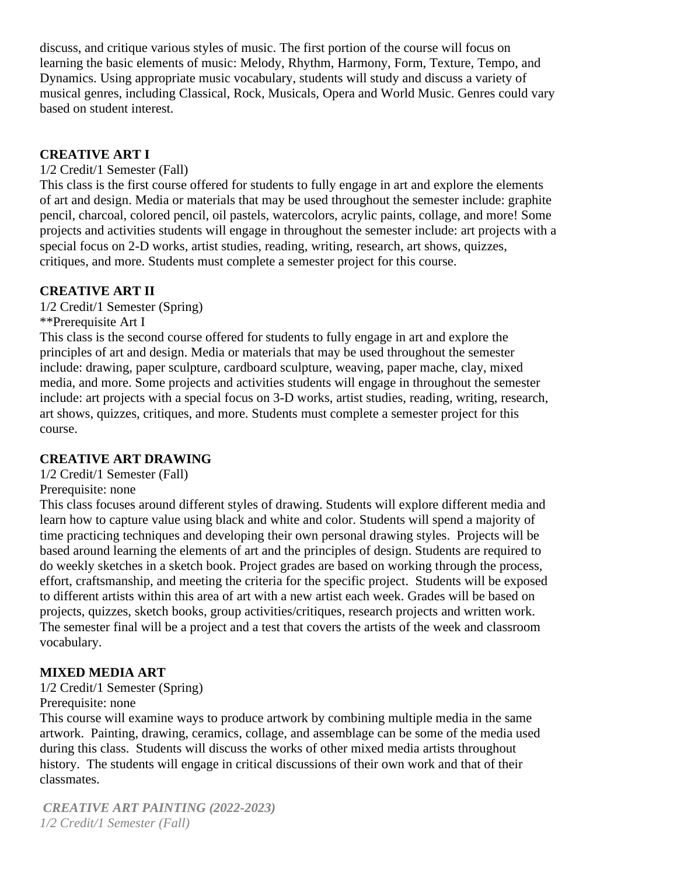discuss, and critique various styles of music. The first portion of the course will focus on learning the basic elements of music: Melody, Rhythm, Harmony, Form, Texture, Tempo, and Dynamics. Using appropriate music vocabulary, students will study and discuss a variety of musical genres, including Classical, Rock, Musicals, Opera and World Music. Genres could vary based on student interest.

#### **CREATIVE ART I**

#### 1/2 Credit/1 Semester (Fall)

This class is the first course offered for students to fully engage in art and explore the elements of art and design. Media or materials that may be used throughout the semester include: graphite pencil, charcoal, colored pencil, oil pastels, watercolors, acrylic paints, collage, and more! Some projects and activities students will engage in throughout the semester include: art projects with a special focus on 2-D works, artist studies, reading, writing, research, art shows, quizzes, critiques, and more. Students must complete a semester project for this course.

### **CREATIVE ART II**

1/2 Credit/1 Semester (Spring)

\*\*Prerequisite Art I

This class is the second course offered for students to fully engage in art and explore the principles of art and design. Media or materials that may be used throughout the semester include: drawing, paper sculpture, cardboard sculpture, weaving, paper mache, clay, mixed media, and more. Some projects and activities students will engage in throughout the semester include: art projects with a special focus on 3-D works, artist studies, reading, writing, research, art shows, quizzes, critiques, and more. Students must complete a semester project for this course.

#### **CREATIVE ART DRAWING**

1/2 Credit/1 Semester (Fall)

#### Prerequisite: none

This class focuses around different styles of drawing. Students will explore different media and learn how to capture value using black and white and color. Students will spend a majority of time practicing techniques and developing their own personal drawing styles. Projects will be based around learning the elements of art and the principles of design. Students are required to do weekly sketches in a sketch book. Project grades are based on working through the process, effort, craftsmanship, and meeting the criteria for the specific project. Students will be exposed to different artists within this area of art with a new artist each week. Grades will be based on projects, quizzes, sketch books, group activities/critiques, research projects and written work. The semester final will be a project and a test that covers the artists of the week and classroom vocabulary.

## **MIXED MEDIA ART**

1/2 Credit/1 Semester (Spring)

Prerequisite: none

This course will examine ways to produce artwork by combining multiple media in the same artwork. Painting, drawing, ceramics, collage, and assemblage can be some of the media used during this class. Students will discuss the works of other mixed media artists throughout history. The students will engage in critical discussions of their own work and that of their classmates.

*CREATIVE ART PAINTING (2022-2023) 1/2 Credit/1 Semester (Fall)*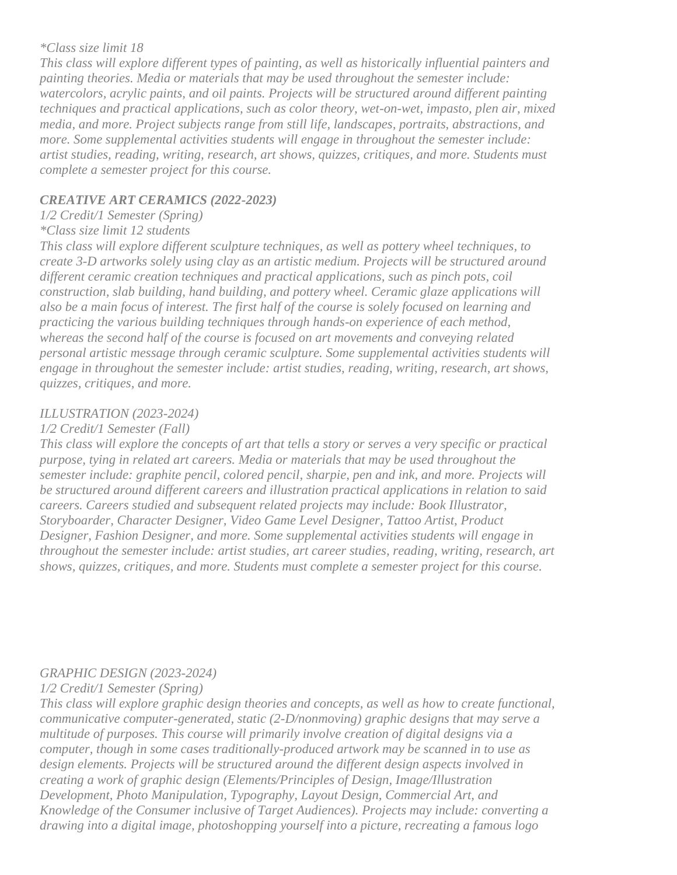#### *\*Class size limit 18*

*This class will explore different types of painting, as well as historically influential painters and painting theories. Media or materials that may be used throughout the semester include: watercolors, acrylic paints, and oil paints. Projects will be structured around different painting techniques and practical applications, such as color theory, wet-on-wet, impasto, plen air, mixed media, and more. Project subjects range from still life, landscapes, portraits, abstractions, and more. Some supplemental activities students will engage in throughout the semester include: artist studies, reading, writing, research, art shows, quizzes, critiques, and more. Students must complete a semester project for this course.*

#### *CREATIVE ART CERAMICS (2022-2023)*

*1/2 Credit/1 Semester (Spring)*

## *\*Class size limit 12 students*

*This class will explore different sculpture techniques, as well as pottery wheel techniques, to create 3-D artworks solely using clay as an artistic medium. Projects will be structured around different ceramic creation techniques and practical applications, such as pinch pots, coil construction, slab building, hand building, and pottery wheel. Ceramic glaze applications will also be a main focus of interest. The first half of the course is solely focused on learning and practicing the various building techniques through hands-on experience of each method, whereas the second half of the course is focused on art movements and conveying related personal artistic message through ceramic sculpture. Some supplemental activities students will engage in throughout the semester include: artist studies, reading, writing, research, art shows, quizzes, critiques, and more.* 

#### *ILLUSTRATION (2023-2024)*

#### *1/2 Credit/1 Semester (Fall)*

*This class will explore the concepts of art that tells a story or serves a very specific or practical purpose, tying in related art careers. Media or materials that may be used throughout the semester include: graphite pencil, colored pencil, sharpie, pen and ink, and more. Projects will be structured around different careers and illustration practical applications in relation to said careers. Careers studied and subsequent related projects may include: Book Illustrator, Storyboarder, Character Designer, Video Game Level Designer, Tattoo Artist, Product Designer, Fashion Designer, and more. Some supplemental activities students will engage in throughout the semester include: artist studies, art career studies, reading, writing, research, art shows, quizzes, critiques, and more. Students must complete a semester project for this course.*

#### *GRAPHIC DESIGN (2023-2024)*

*1/2 Credit/1 Semester (Spring)*

*This class will explore graphic design theories and concepts, as well as how to create functional, communicative computer-generated, static (2-D/nonmoving) graphic designs that may serve a multitude of purposes. This course will primarily involve creation of digital designs via a computer, though in some cases traditionally-produced artwork may be scanned in to use as design elements. Projects will be structured around the different design aspects involved in creating a work of graphic design (Elements/Principles of Design, Image/Illustration Development, Photo Manipulation, Typography, Layout Design, Commercial Art, and Knowledge of the Consumer inclusive of Target Audiences). Projects may include: converting a drawing into a digital image, photoshopping yourself into a picture, recreating a famous logo*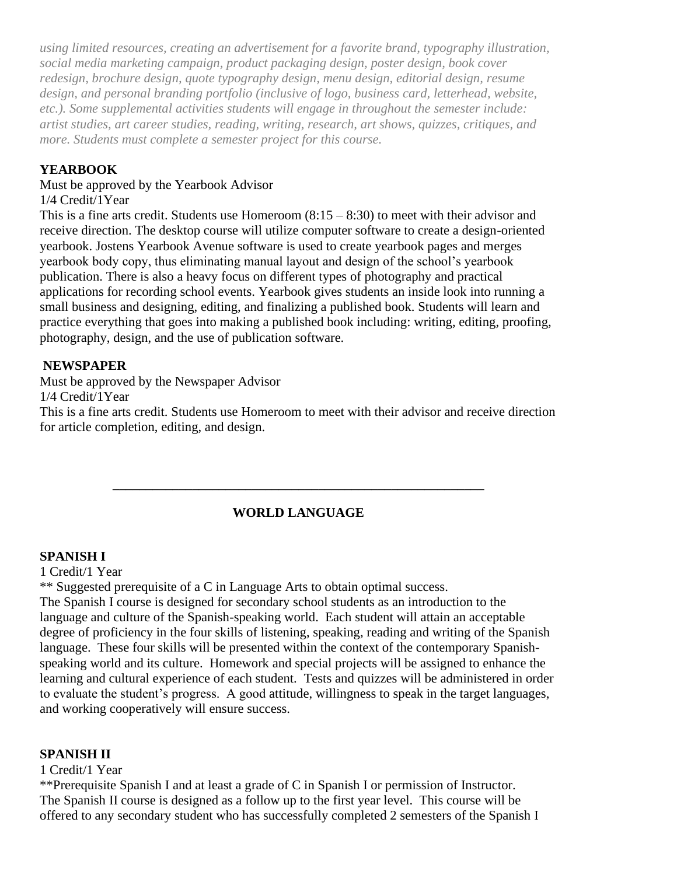*using limited resources, creating an advertisement for a favorite brand, typography illustration, social media marketing campaign, product packaging design, poster design, book cover redesign, brochure design, quote typography design, menu design, editorial design, resume design, and personal branding portfolio (inclusive of logo, business card, letterhead, website, etc.). Some supplemental activities students will engage in throughout the semester include: artist studies, art career studies, reading, writing, research, art shows, quizzes, critiques, and more. Students must complete a semester project for this course.*

#### **YEARBOOK**

Must be approved by the Yearbook Advisor

1/4 Credit/1Year

This is a fine arts credit. Students use Homeroom  $(8:15 - 8:30)$  to meet with their advisor and receive direction. The desktop course will utilize computer software to create a design-oriented yearbook. Jostens Yearbook Avenue software is used to create yearbook pages and merges yearbook body copy, thus eliminating manual layout and design of the school's yearbook publication. There is also a heavy focus on different types of photography and practical applications for recording school events. Yearbook gives students an inside look into running a small business and designing, editing, and finalizing a published book. Students will learn and practice everything that goes into making a published book including: writing, editing, proofing, photography, design, and the use of publication software.

### **NEWSPAPER**

Must be approved by the Newspaper Advisor 1/4 Credit/1Year

This is a fine arts credit. Students use Homeroom to meet with their advisor and receive direction for article completion, editing, and design.

## **WORLD LANGUAGE**

**\_\_\_\_\_\_\_\_\_\_\_\_\_\_\_\_\_\_\_\_\_\_\_\_\_\_\_\_\_\_\_\_\_\_\_\_\_\_\_\_\_\_\_\_\_\_\_\_\_\_\_\_\_\_\_\_**

#### **SPANISH I**

1 Credit/1 Year

\*\* Suggested prerequisite of a C in Language Arts to obtain optimal success.

The Spanish I course is designed for secondary school students as an introduction to the language and culture of the Spanish-speaking world. Each student will attain an acceptable degree of proficiency in the four skills of listening, speaking, reading and writing of the Spanish language. These four skills will be presented within the context of the contemporary Spanishspeaking world and its culture. Homework and special projects will be assigned to enhance the learning and cultural experience of each student. Tests and quizzes will be administered in order to evaluate the student's progress. A good attitude, willingness to speak in the target languages, and working cooperatively will ensure success.

#### **SPANISH II**

1 Credit/1 Year

\*\*Prerequisite Spanish I and at least a grade of C in Spanish I or permission of Instructor. The Spanish II course is designed as a follow up to the first year level. This course will be offered to any secondary student who has successfully completed 2 semesters of the Spanish I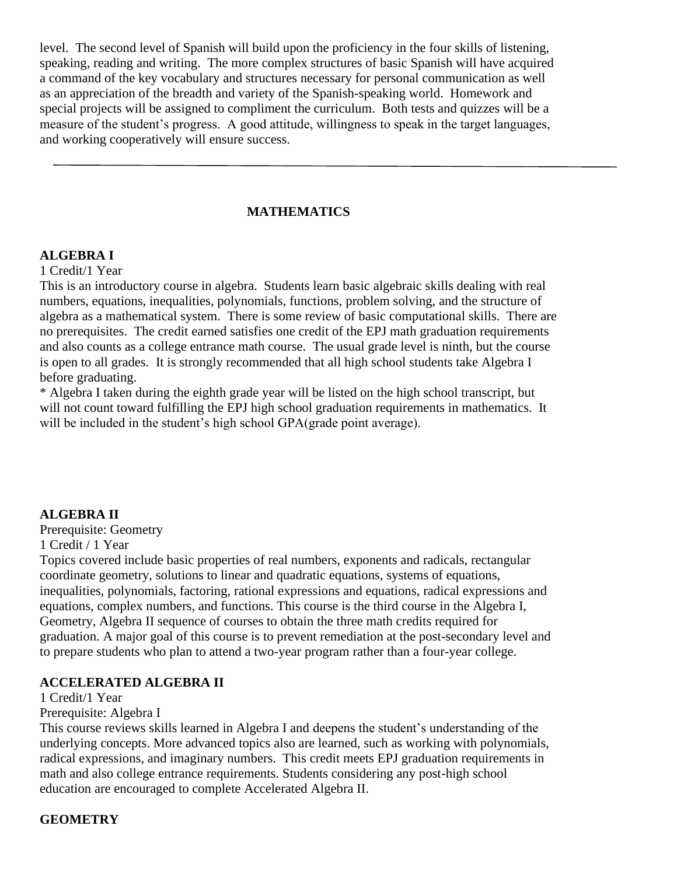level. The second level of Spanish will build upon the proficiency in the four skills of listening, speaking, reading and writing. The more complex structures of basic Spanish will have acquired a command of the key vocabulary and structures necessary for personal communication as well as an appreciation of the breadth and variety of the Spanish-speaking world. Homework and special projects will be assigned to compliment the curriculum. Both tests and quizzes will be a measure of the student's progress. A good attitude, willingness to speak in the target languages, and working cooperatively will ensure success.

#### **MATHEMATICS**

#### **ALGEBRA I**

1 Credit/1 Year

This is an introductory course in algebra. Students learn basic algebraic skills dealing with real numbers, equations, inequalities, polynomials, functions, problem solving, and the structure of algebra as a mathematical system. There is some review of basic computational skills. There are no prerequisites. The credit earned satisfies one credit of the EPJ math graduation requirements and also counts as a college entrance math course. The usual grade level is ninth, but the course is open to all grades. It is strongly recommended that all high school students take Algebra I before graduating.

\* Algebra I taken during the eighth grade year will be listed on the high school transcript, but will not count toward fulfilling the EPJ high school graduation requirements in mathematics. It will be included in the student's high school GPA(grade point average).

#### **ALGEBRA II**

Prerequisite: Geometry

1 Credit / 1 Year

Topics covered include basic properties of real numbers, exponents and radicals, rectangular coordinate geometry, solutions to linear and quadratic equations, systems of equations, inequalities, polynomials, factoring, rational expressions and equations, radical expressions and equations, complex numbers, and functions. This course is the third course in the Algebra I, Geometry, Algebra II sequence of courses to obtain the three math credits required for graduation. A major goal of this course is to prevent remediation at the post-secondary level and to prepare students who plan to attend a two-year program rather than a four-year college.

#### **ACCELERATED ALGEBRA II**

1 Credit/1 Year

Prerequisite: Algebra I

This course reviews skills learned in Algebra I and deepens the student's understanding of the underlying concepts. More advanced topics also are learned, such as working with polynomials, radical expressions, and imaginary numbers. This credit meets EPJ graduation requirements in math and also college entrance requirements. Students considering any post-high school education are encouraged to complete Accelerated Algebra II.

#### **GEOMETRY**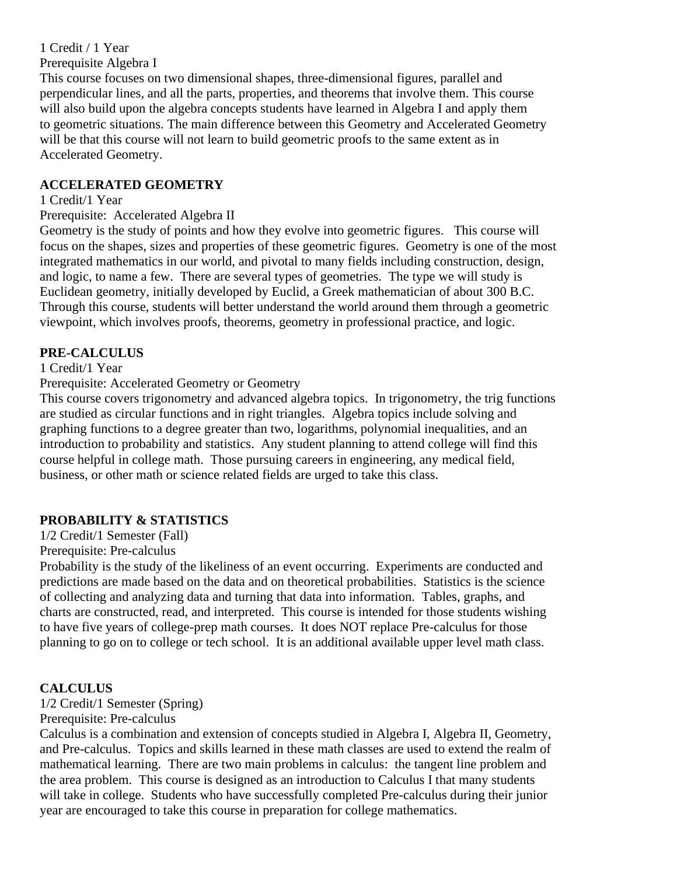1 Credit / 1 Year Prerequisite Algebra I

This course focuses on two dimensional shapes, three-dimensional figures, parallel and perpendicular lines, and all the parts, properties, and theorems that involve them. This course will also build upon the algebra concepts students have learned in Algebra I and apply them to geometric situations. The main difference between this Geometry and Accelerated Geometry will be that this course will not learn to build geometric proofs to the same extent as in Accelerated Geometry.

#### **ACCELERATED GEOMETRY**

#### 1 Credit/1 Year

Prerequisite: Accelerated Algebra II

Geometry is the study of points and how they evolve into geometric figures. This course will focus on the shapes, sizes and properties of these geometric figures. Geometry is one of the most integrated mathematics in our world, and pivotal to many fields including construction, design, and logic, to name a few. There are several types of geometries. The type we will study is Euclidean geometry, initially developed by Euclid, a Greek mathematician of about 300 B.C. Through this course, students will better understand the world around them through a geometric viewpoint, which involves proofs, theorems, geometry in professional practice, and logic.

### **PRE-CALCULUS**

1 Credit/1 Year

#### Prerequisite: Accelerated Geometry or Geometry

This course covers trigonometry and advanced algebra topics. In trigonometry, the trig functions are studied as circular functions and in right triangles. Algebra topics include solving and graphing functions to a degree greater than two, logarithms, polynomial inequalities, and an introduction to probability and statistics. Any student planning to attend college will find this course helpful in college math. Those pursuing careers in engineering, any medical field, business, or other math or science related fields are urged to take this class.

## **PROBABILITY & STATISTICS**

1/2 Credit/1 Semester (Fall)

Prerequisite: Pre-calculus

Probability is the study of the likeliness of an event occurring. Experiments are conducted and predictions are made based on the data and on theoretical probabilities. Statistics is the science of collecting and analyzing data and turning that data into information. Tables, graphs, and charts are constructed, read, and interpreted. This course is intended for those students wishing to have five years of college-prep math courses. It does NOT replace Pre-calculus for those planning to go on to college or tech school. It is an additional available upper level math class.

#### **CALCULUS**

1/2 Credit/1 Semester (Spring)

Prerequisite: Pre-calculus

Calculus is a combination and extension of concepts studied in Algebra I, Algebra II, Geometry, and Pre-calculus. Topics and skills learned in these math classes are used to extend the realm of mathematical learning. There are two main problems in calculus: the tangent line problem and the area problem. This course is designed as an introduction to Calculus I that many students will take in college. Students who have successfully completed Pre-calculus during their junior year are encouraged to take this course in preparation for college mathematics.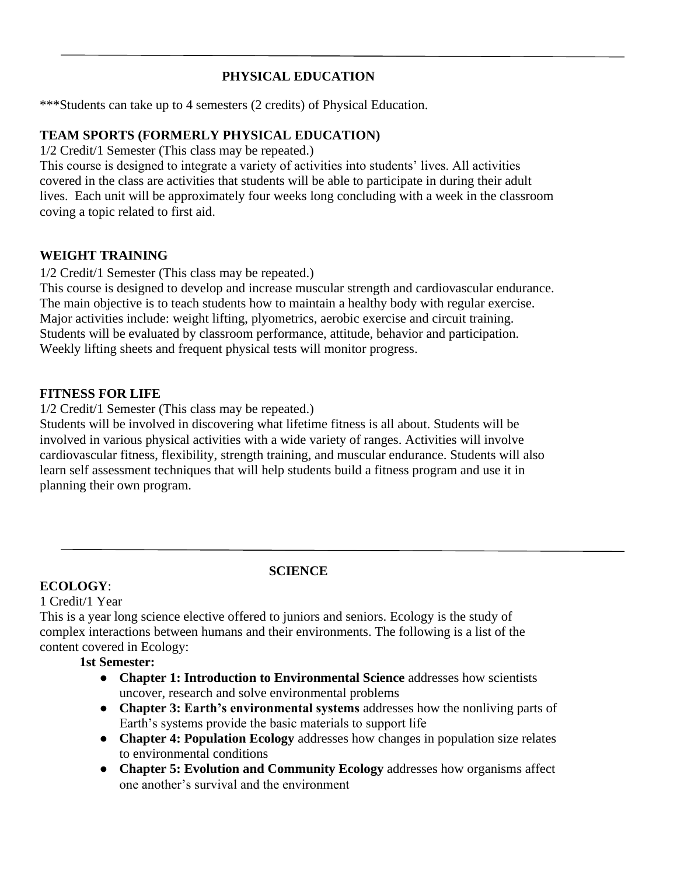## **PHYSICAL EDUCATION**

\*\*\*Students can take up to 4 semesters (2 credits) of Physical Education.

#### **TEAM SPORTS (FORMERLY PHYSICAL EDUCATION)**

1/2 Credit/1 Semester (This class may be repeated.)

This course is designed to integrate a variety of activities into students' lives. All activities covered in the class are activities that students will be able to participate in during their adult lives. Each unit will be approximately four weeks long concluding with a week in the classroom coving a topic related to first aid.

#### **WEIGHT TRAINING**

1/2 Credit/1 Semester (This class may be repeated.)

This course is designed to develop and increase muscular strength and cardiovascular endurance. The main objective is to teach students how to maintain a healthy body with regular exercise. Major activities include: weight lifting, plyometrics, aerobic exercise and circuit training. Students will be evaluated by classroom performance, attitude, behavior and participation. Weekly lifting sheets and frequent physical tests will monitor progress.

#### **FITNESS FOR LIFE**

1/2 Credit/1 Semester (This class may be repeated.)

Students will be involved in discovering what lifetime fitness is all about. Students will be involved in various physical activities with a wide variety of ranges. Activities will involve cardiovascular fitness, flexibility, strength training, and muscular endurance. Students will also learn self assessment techniques that will help students build a fitness program and use it in planning their own program.

#### **ECOLOGY**:

#### 1 Credit/1 Year

This is a year long science elective offered to juniors and seniors. Ecology is the study of complex interactions between humans and their environments. The following is a list of the content covered in Ecology:

#### **1st Semester:**

- **Chapter 1: Introduction to Environmental Science** addresses how scientists uncover, research and solve environmental problems
- **Chapter 3: Earth's environmental systems** addresses how the nonliving parts of Earth's systems provide the basic materials to support life
- **Chapter 4: Population Ecology** addresses how changes in population size relates to environmental conditions
- **Chapter 5: Evolution and Community Ecology** addresses how organisms affect one another's survival and the environment

## **SCIENCE**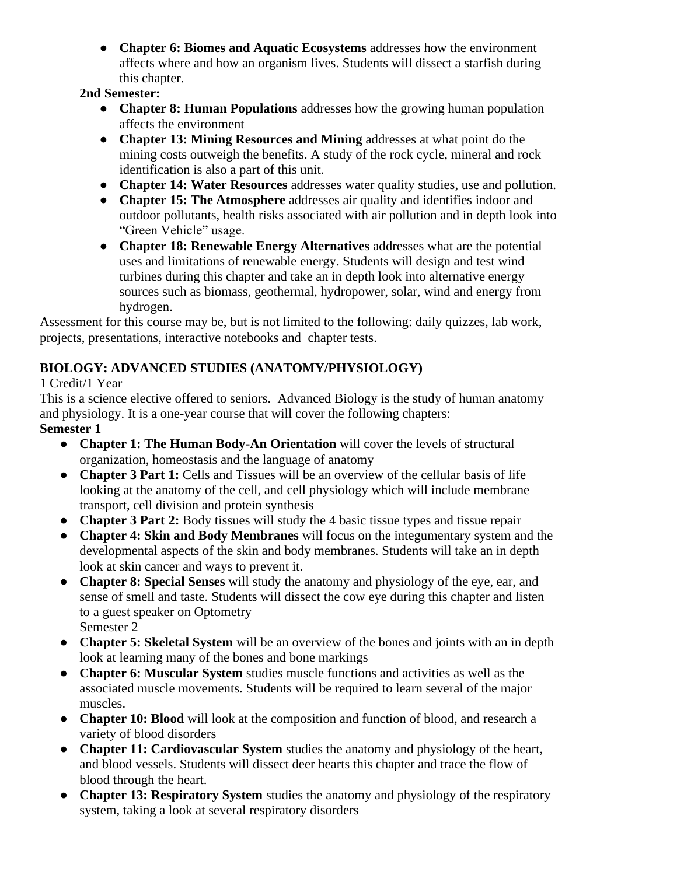● **Chapter 6: Biomes and Aquatic Ecosystems** addresses how the environment affects where and how an organism lives. Students will dissect a starfish during this chapter.

### **2nd Semester:**

- **Chapter 8: Human Populations** addresses how the growing human population affects the environment
- **Chapter 13: Mining Resources and Mining** addresses at what point do the mining costs outweigh the benefits. A study of the rock cycle, mineral and rock identification is also a part of this unit.
- **Chapter 14: Water Resources** addresses water quality studies, use and pollution.
- **Chapter 15: The Atmosphere** addresses air quality and identifies indoor and outdoor pollutants, health risks associated with air pollution and in depth look into "Green Vehicle" usage.
- **Chapter 18: Renewable Energy Alternatives** addresses what are the potential uses and limitations of renewable energy. Students will design and test wind turbines during this chapter and take an in depth look into alternative energy sources such as biomass, geothermal, hydropower, solar, wind and energy from hydrogen.

Assessment for this course may be, but is not limited to the following: daily quizzes, lab work, projects, presentations, interactive notebooks and chapter tests.

## **BIOLOGY: ADVANCED STUDIES (ANATOMY/PHYSIOLOGY)**

## 1 Credit/1 Year

This is a science elective offered to seniors. Advanced Biology is the study of human anatomy and physiology. It is a one-year course that will cover the following chapters: **Semester 1**

- **Chapter 1: The Human Body-An Orientation** will cover the levels of structural organization, homeostasis and the language of anatomy
- **Chapter 3 Part 1:** Cells and Tissues will be an overview of the cellular basis of life looking at the anatomy of the cell, and cell physiology which will include membrane transport, cell division and protein synthesis
- **Chapter 3 Part 2:** Body tissues will study the 4 basic tissue types and tissue repair
- **Chapter 4: Skin and Body Membranes** will focus on the integumentary system and the developmental aspects of the skin and body membranes. Students will take an in depth look at skin cancer and ways to prevent it.
- **Chapter 8: Special Senses** will study the anatomy and physiology of the eye, ear, and sense of smell and taste. Students will dissect the cow eye during this chapter and listen to a guest speaker on Optometry Semester 2
- **Chapter 5: Skeletal System** will be an overview of the bones and joints with an in depth look at learning many of the bones and bone markings
- **Chapter 6: Muscular System** studies muscle functions and activities as well as the associated muscle movements. Students will be required to learn several of the major muscles.
- **Chapter 10: Blood** will look at the composition and function of blood, and research a variety of blood disorders
- **Chapter 11: Cardiovascular System** studies the anatomy and physiology of the heart, and blood vessels. Students will dissect deer hearts this chapter and trace the flow of blood through the heart.
- **Chapter 13: Respiratory System** studies the anatomy and physiology of the respiratory system, taking a look at several respiratory disorders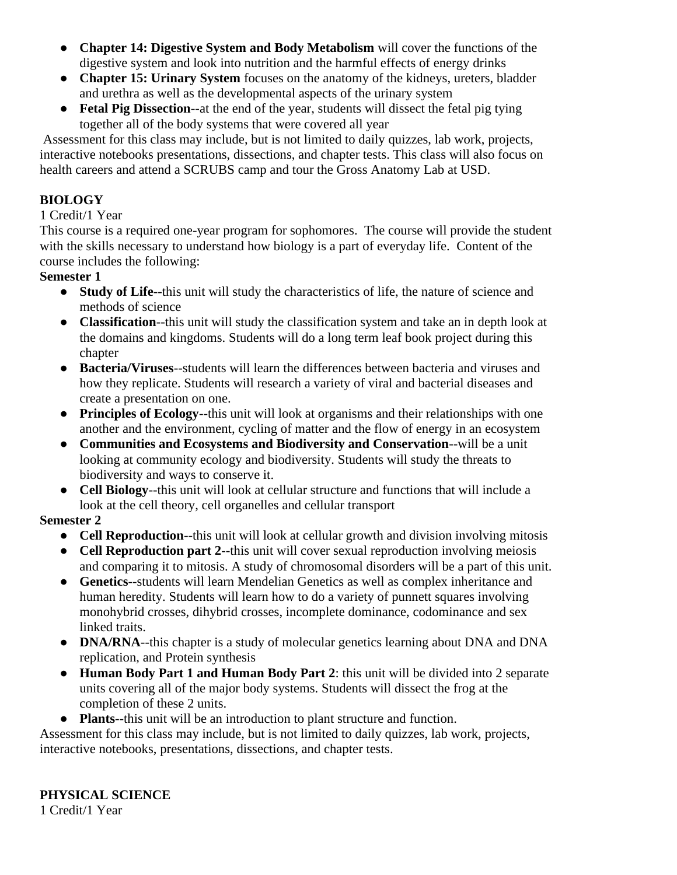- **Chapter 14: Digestive System and Body Metabolism** will cover the functions of the digestive system and look into nutrition and the harmful effects of energy drinks
- **Chapter 15: Urinary System** focuses on the anatomy of the kidneys, ureters, bladder and urethra as well as the developmental aspects of the urinary system
- **Fetal Pig Dissection**--at the end of the year, students will dissect the fetal pig tying together all of the body systems that were covered all year

Assessment for this class may include, but is not limited to daily quizzes, lab work, projects, interactive notebooks presentations, dissections, and chapter tests. This class will also focus on health careers and attend a SCRUBS camp and tour the Gross Anatomy Lab at USD.

## **BIOLOGY**

#### 1 Credit/1 Year

This course is a required one-year program for sophomores. The course will provide the student with the skills necessary to understand how biology is a part of everyday life. Content of the course includes the following:

### **Semester 1**

- **Study of Life**--this unit will study the characteristics of life, the nature of science and methods of science
- **Classification**--this unit will study the classification system and take an in depth look at the domains and kingdoms. Students will do a long term leaf book project during this chapter
- **Bacteria/Viruses**--students will learn the differences between bacteria and viruses and how they replicate. Students will research a variety of viral and bacterial diseases and create a presentation on one.
- **Principles of Ecology**--this unit will look at organisms and their relationships with one another and the environment, cycling of matter and the flow of energy in an ecosystem
- **Communities and Ecosystems and Biodiversity and Conservation**--will be a unit looking at community ecology and biodiversity. Students will study the threats to biodiversity and ways to conserve it.
- **Cell Biology**--this unit will look at cellular structure and functions that will include a look at the cell theory, cell organelles and cellular transport

## **Semester 2**

- **Cell Reproduction**--this unit will look at cellular growth and division involving mitosis
- **Cell Reproduction part 2**--this unit will cover sexual reproduction involving meiosis and comparing it to mitosis. A study of chromosomal disorders will be a part of this unit.
- **Genetics**--students will learn Mendelian Genetics as well as complex inheritance and human heredity. Students will learn how to do a variety of punnett squares involving monohybrid crosses, dihybrid crosses, incomplete dominance, codominance and sex linked traits.
- **DNA/RNA**--this chapter is a study of molecular genetics learning about DNA and DNA replication, and Protein synthesis
- **Human Body Part 1 and Human Body Part 2**: this unit will be divided into 2 separate units covering all of the major body systems. Students will dissect the frog at the completion of these 2 units.
- **Plants**--this unit will be an introduction to plant structure and function.

Assessment for this class may include, but is not limited to daily quizzes, lab work, projects, interactive notebooks, presentations, dissections, and chapter tests.

## **PHYSICAL SCIENCE**

1 Credit/1 Year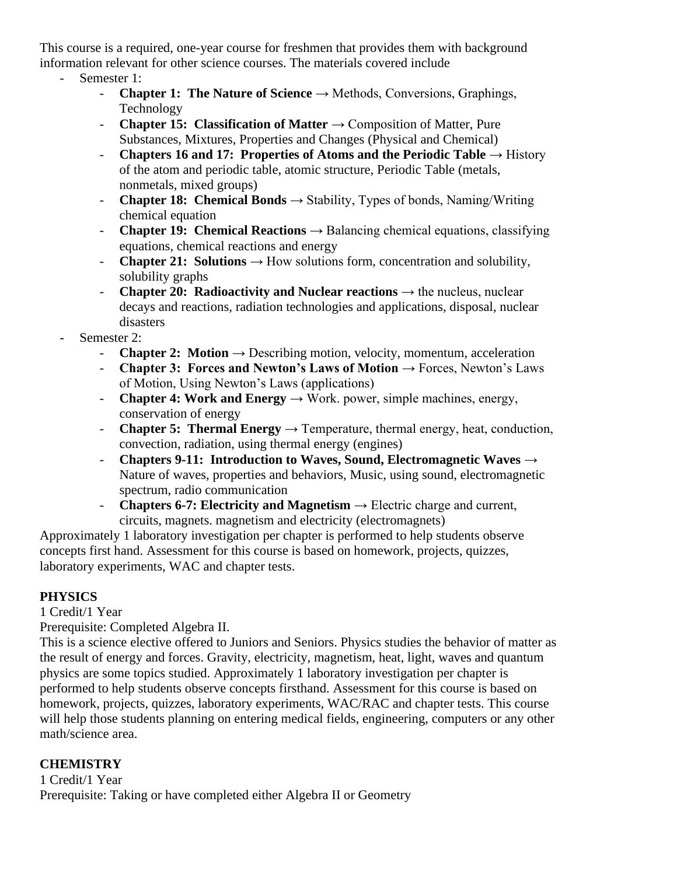This course is a required, one-year course for freshmen that provides them with background information relevant for other science courses. The materials covered include

- Semester 1:
	- **- Chapter 1: The Nature of Science**  $\rightarrow$  Methods, Conversions, Graphings, Technology
	- **Chapter 15: Classification of Matter** → Composition of Matter, Pure Substances, Mixtures, Properties and Changes (Physical and Chemical)
	- **Chapters 16 and 17: Properties of Atoms and the Periodic Table** → History of the atom and periodic table, atomic structure, Periodic Table (metals, nonmetals, mixed groups)
	- **- Chapter 18: Chemical Bonds**  $\rightarrow$  Stability, Types of bonds, Naming/Writing chemical equation
	- **- Chapter 19: Chemical Reactions**  $\rightarrow$  Balancing chemical equations, classifying equations, chemical reactions and energy
	- **- Chapter 21:** Solutions  $\rightarrow$  How solutions form, concentration and solubility, solubility graphs
	- **- Chapter 20: Radioactivity and Nuclear reactions**  $\rightarrow$  the nucleus, nuclear decays and reactions, radiation technologies and applications, disposal, nuclear disasters
- Semester 2:
	- **- Chapter 2:** Motion  $\rightarrow$  Describing motion, velocity, momentum, acceleration
	- **Chapter 3: Forces and Newton's Laws of Motion** → Forces, Newton's Laws of Motion, Using Newton's Laws (applications)
	- **- Chapter 4: Work and Energy**  $\rightarrow$  Work. power, simple machines, energy, conservation of energy
	- **- Chapter 5: Thermal Energy**  $\rightarrow$  Temperature, thermal energy, heat, conduction, convection, radiation, using thermal energy (engines)
	- **Chapters 9-11: Introduction to Waves, Sound, Electromagnetic Waves** → Nature of waves, properties and behaviors, Music, using sound, electromagnetic spectrum, radio communication
	- **- Chapters 6-7: Electricity and Magnetism**  $\rightarrow$  Electric charge and current, circuits, magnets. magnetism and electricity (electromagnets)

Approximately 1 laboratory investigation per chapter is performed to help students observe concepts first hand. Assessment for this course is based on homework, projects, quizzes, laboratory experiments, WAC and chapter tests.

## **PHYSICS**

1 Credit/1 Year

Prerequisite: Completed Algebra II.

This is a science elective offered to Juniors and Seniors. Physics studies the behavior of matter as the result of energy and forces. Gravity, electricity, magnetism, heat, light, waves and quantum physics are some topics studied. Approximately 1 laboratory investigation per chapter is performed to help students observe concepts firsthand. Assessment for this course is based on homework, projects, quizzes, laboratory experiments, WAC/RAC and chapter tests. This course will help those students planning on entering medical fields, engineering, computers or any other math/science area.

#### **CHEMISTRY**

1 Credit/1 Year Prerequisite: Taking or have completed either Algebra II or Geometry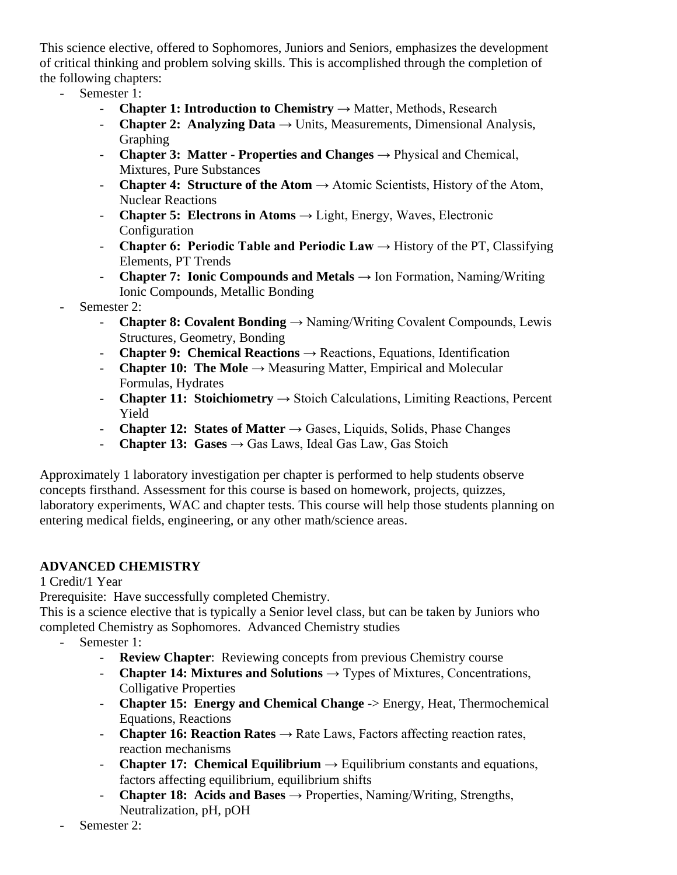This science elective, offered to Sophomores, Juniors and Seniors, emphasizes the development of critical thinking and problem solving skills. This is accomplished through the completion of the following chapters:

- Semester 1:
	- **Chapter 1: Introduction to Chemistry** → Matter, Methods, Research
	- **- Chapter 2: Analyzing Data**  $\rightarrow$  Units, Measurements, Dimensional Analysis, Graphing
	- **Chapter 3: Matter - Properties and Changes** → Physical and Chemical, Mixtures, Pure Substances
	- **- Chapter 4: Structure of the Atom**  $\rightarrow$  Atomic Scientists, History of the Atom, Nuclear Reactions
	- **- Chapter 5: Electrons in Atoms**  $\rightarrow$  Light, Energy, Waves, Electronic Configuration
	- **- Chapter 6: Periodic Table and Periodic Law**  $\rightarrow$  History of the PT, Classifying Elements, PT Trends
	- **Chapter 7: Ionic Compounds and Metals** → Ion Formation, Naming/Writing Ionic Compounds, Metallic Bonding
- Semester 2:
	- **Chapter 8: Covalent Bonding** → Naming/Writing Covalent Compounds, Lewis Structures, Geometry, Bonding
	- **Chapter 9: Chemical Reactions** → Reactions, Equations, Identification
	- **- Chapter 10: The Mole**  $\rightarrow$  Measuring Matter, Empirical and Molecular Formulas, Hydrates
	- **- Chapter 11: Stoichiometry**  $\rightarrow$  Stoich Calculations, Limiting Reactions, Percent Yield
	- **- Chapter 12: States of Matter**  $\rightarrow$  Gases, Liquids, Solids, Phase Changes
	- **Chapter 13:** Gases  $\rightarrow$  Gas Laws, Ideal Gas Law, Gas Stoich

Approximately 1 laboratory investigation per chapter is performed to help students observe concepts firsthand. Assessment for this course is based on homework, projects, quizzes, laboratory experiments, WAC and chapter tests. This course will help those students planning on entering medical fields, engineering, or any other math/science areas.

## **ADVANCED CHEMISTRY**

1 Credit/1 Year

Prerequisite: Have successfully completed Chemistry.

This is a science elective that is typically a Senior level class, but can be taken by Juniors who completed Chemistry as Sophomores. Advanced Chemistry studies

- Semester 1:
	- **Review Chapter**: Reviewing concepts from previous Chemistry course
	- **- Chapter 14: Mixtures and Solutions**  $\rightarrow$  Types of Mixtures, Concentrations, Colligative Properties
	- **Chapter 15: Energy and Chemical Change** -> Energy, Heat, Thermochemical Equations, Reactions
	- **- Chapter 16: Reaction Rates**  $\rightarrow$  Rate Laws, Factors affecting reaction rates, reaction mechanisms
	- **- Chapter 17: Chemical Equilibrium**  $\rightarrow$  Equilibrium constants and equations, factors affecting equilibrium, equilibrium shifts
	- **Chapter 18: Acids and Bases** → Properties, Naming/Writing, Strengths, Neutralization, pH, pOH
- Semester 2: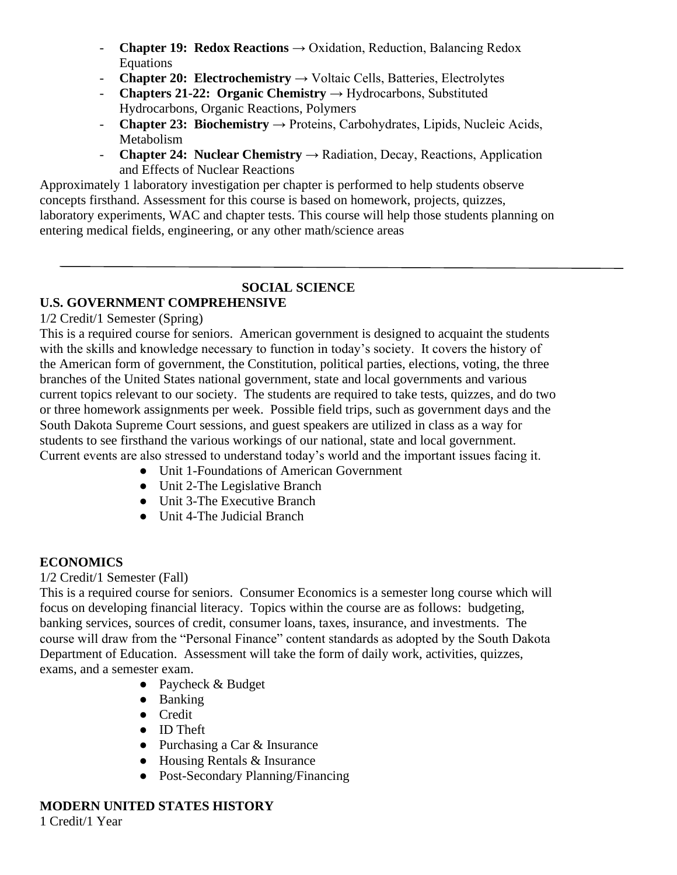- **Chapter 19: Redox Reactions** → Oxidation, Reduction, Balancing Redox Equations
- **- Chapter 20: Electrochemistry**  $\rightarrow$  Voltaic Cells, Batteries, Electrolytes
- **Chapters 21-22: Organic Chemistry** → Hydrocarbons, Substituted Hydrocarbons, Organic Reactions, Polymers
- **Chapter 23: Biochemistry** → Proteins, Carbohydrates, Lipids, Nucleic Acids, Metabolism
- **Chapter 24: Nuclear Chemistry** → Radiation, Decay, Reactions, Application and Effects of Nuclear Reactions

Approximately 1 laboratory investigation per chapter is performed to help students observe concepts firsthand. Assessment for this course is based on homework, projects, quizzes, laboratory experiments, WAC and chapter tests. This course will help those students planning on entering medical fields, engineering, or any other math/science areas

#### **SOCIAL SCIENCE U.S. GOVERNMENT COMPREHENSIVE**

1/2 Credit/1 Semester (Spring)

This is a required course for seniors. American government is designed to acquaint the students with the skills and knowledge necessary to function in today's society. It covers the history of the American form of government, the Constitution, political parties, elections, voting, the three branches of the United States national government, state and local governments and various current topics relevant to our society. The students are required to take tests, quizzes, and do two or three homework assignments per week. Possible field trips, such as government days and the South Dakota Supreme Court sessions, and guest speakers are utilized in class as a way for students to see firsthand the various workings of our national, state and local government. Current events are also stressed to understand today's world and the important issues facing it.

- Unit 1-Foundations of American Government
- Unit 2-The Legislative Branch
- Unit 3-The Executive Branch
- Unit 4-The Judicial Branch

## **ECONOMICS**

## 1/2 Credit/1 Semester (Fall)

This is a required course for seniors. Consumer Economics is a semester long course which will focus on developing financial literacy. Topics within the course are as follows: budgeting, banking services, sources of credit, consumer loans, taxes, insurance, and investments. The course will draw from the "Personal Finance" content standards as adopted by the South Dakota Department of Education. Assessment will take the form of daily work, activities, quizzes, exams, and a semester exam.

- Paycheck & Budget
- Banking
- Credit
- ID Theft
- Purchasing a Car & Insurance
- $\bullet$  Housing Rentals & Insurance
- Post-Secondary Planning/Financing

## **MODERN UNITED STATES HISTORY**

1 Credit/1 Year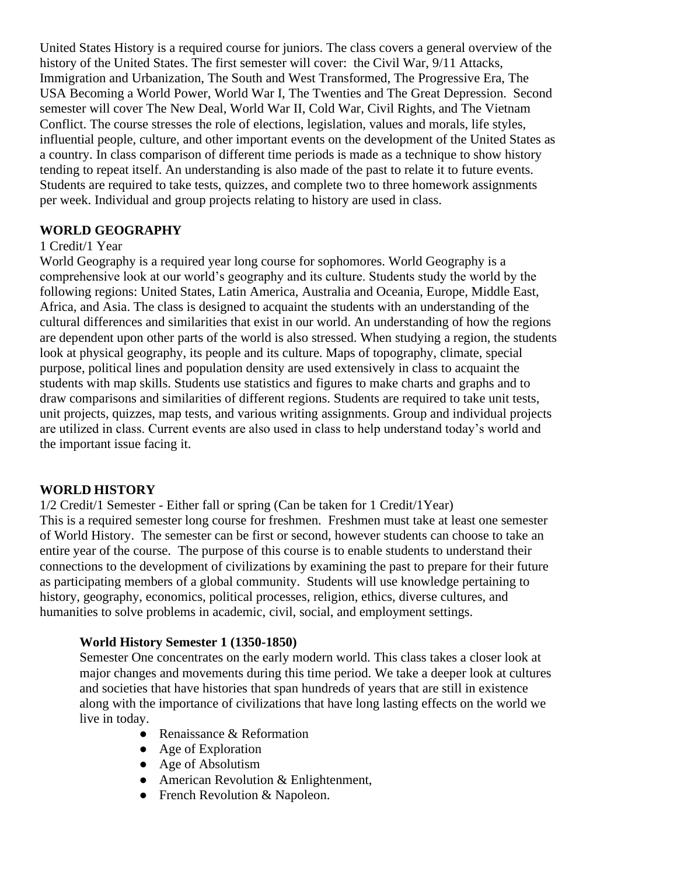United States History is a required course for juniors. The class covers a general overview of the history of the United States. The first semester will cover: the Civil War, 9/11 Attacks, Immigration and Urbanization, The South and West Transformed, The Progressive Era, The USA Becoming a World Power, World War I, The Twenties and The Great Depression. Second semester will cover The New Deal, World War II, Cold War, Civil Rights, and The Vietnam Conflict. The course stresses the role of elections, legislation, values and morals, life styles, influential people, culture, and other important events on the development of the United States as a country. In class comparison of different time periods is made as a technique to show history tending to repeat itself. An understanding is also made of the past to relate it to future events. Students are required to take tests, quizzes, and complete two to three homework assignments per week. Individual and group projects relating to history are used in class.

#### **WORLD GEOGRAPHY**

#### 1 Credit/1 Year

World Geography is a required year long course for sophomores. World Geography is a comprehensive look at our world's geography and its culture. Students study the world by the following regions: United States, Latin America, Australia and Oceania, Europe, Middle East, Africa, and Asia. The class is designed to acquaint the students with an understanding of the cultural differences and similarities that exist in our world. An understanding of how the regions are dependent upon other parts of the world is also stressed. When studying a region, the students look at physical geography, its people and its culture. Maps of topography, climate, special purpose, political lines and population density are used extensively in class to acquaint the students with map skills. Students use statistics and figures to make charts and graphs and to draw comparisons and similarities of different regions. Students are required to take unit tests, unit projects, quizzes, map tests, and various writing assignments. Group and individual projects are utilized in class. Current events are also used in class to help understand today's world and the important issue facing it.

#### **WORLD HISTORY**

1/2 Credit/1 Semester - Either fall or spring (Can be taken for 1 Credit/1Year) This is a required semester long course for freshmen. Freshmen must take at least one semester of World History. The semester can be first or second, however students can choose to take an entire year of the course. The purpose of this course is to enable students to understand their connections to the development of civilizations by examining the past to prepare for their future as participating members of a global community. Students will use knowledge pertaining to history, geography, economics, political processes, religion, ethics, diverse cultures, and humanities to solve problems in academic, civil, social, and employment settings.

#### **World History Semester 1 (1350-1850)**

Semester One concentrates on the early modern world. This class takes a closer look at major changes and movements during this time period. We take a deeper look at cultures and societies that have histories that span hundreds of years that are still in existence along with the importance of civilizations that have long lasting effects on the world we live in today.

- Renaissance & Reformation
- Age of Exploration
- Age of Absolutism
- American Revolution & Enlightenment,
- French Revolution & Napoleon.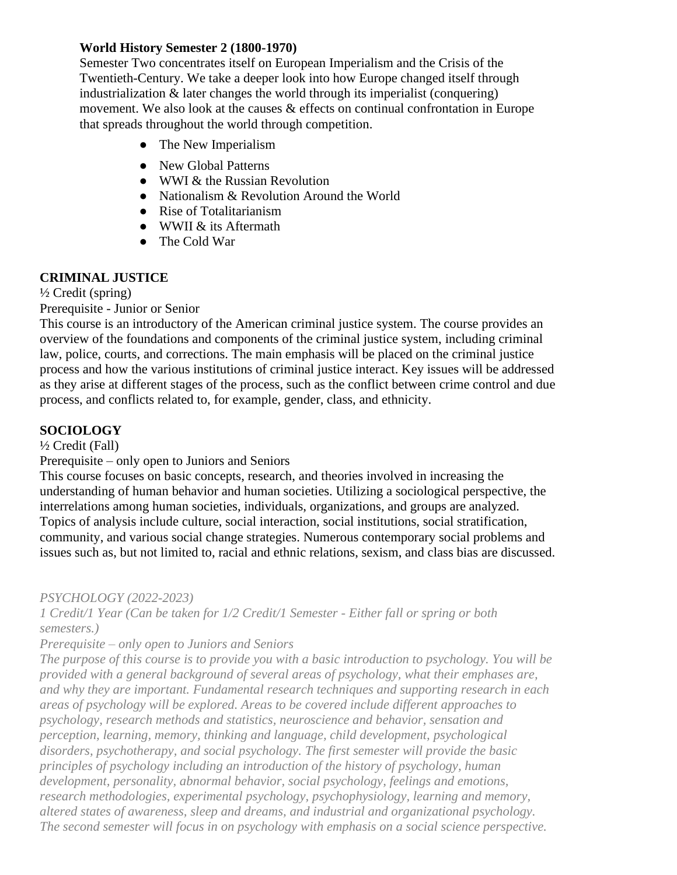#### **World History Semester 2 (1800-1970)**

Semester Two concentrates itself on European Imperialism and the Crisis of the Twentieth-Century. We take a deeper look into how Europe changed itself through industrialization & later changes the world through its imperialist (conquering) movement. We also look at the causes & effects on continual confrontation in Europe that spreads throughout the world through competition.

- The New Imperialism
- New Global Patterns
- WWI & the Russian Revolution
- Nationalism & Revolution Around the World
- Rise of Totalitarianism
- WWII & its Aftermath
- The Cold War

#### **CRIMINAL JUSTICE**

 $\frac{1}{2}$  Credit (spring)

Prerequisite - Junior or Senior

This course is an introductory of the American criminal justice system. The course provides an overview of the foundations and components of the criminal justice system, including criminal law, police, courts, and corrections. The main emphasis will be placed on the criminal justice process and how the various institutions of criminal justice interact. Key issues will be addressed as they arise at different stages of the process, such as the conflict between crime control and due process, and conflicts related to, for example, gender, class, and ethnicity.

## **SOCIOLOGY**

½ Credit (Fall)

Prerequisite – only open to Juniors and Seniors

This course focuses on basic concepts, research, and theories involved in increasing the understanding of human behavior and human societies. Utilizing a sociological perspective, the interrelations among human societies, individuals, organizations, and groups are analyzed. Topics of analysis include culture, social interaction, social institutions, social stratification, community, and various social change strategies. Numerous contemporary social problems and issues such as, but not limited to, racial and ethnic relations, sexism, and class bias are discussed.

*PSYCHOLOGY (2022-2023)*

*1 Credit/1 Year (Can be taken for 1/2 Credit/1 Semester - Either fall or spring or both semesters.)*

*Prerequisite – only open to Juniors and Seniors*

*The purpose of this course is to provide you with a basic introduction to psychology. You will be provided with a general background of several areas of psychology, what their emphases are, and why they are important. Fundamental research techniques and supporting research in each areas of psychology will be explored. Areas to be covered include different approaches to psychology, research methods and statistics, neuroscience and behavior, sensation and perception, learning, memory, thinking and language, child development, psychological disorders, psychotherapy, and social psychology. The first semester will provide the basic principles of psychology including an introduction of the history of psychology, human development, personality, abnormal behavior, social psychology, feelings and emotions, research methodologies, experimental psychology, psychophysiology, learning and memory, altered states of awareness, sleep and dreams, and industrial and organizational psychology. The second semester will focus in on psychology with emphasis on a social science perspective.*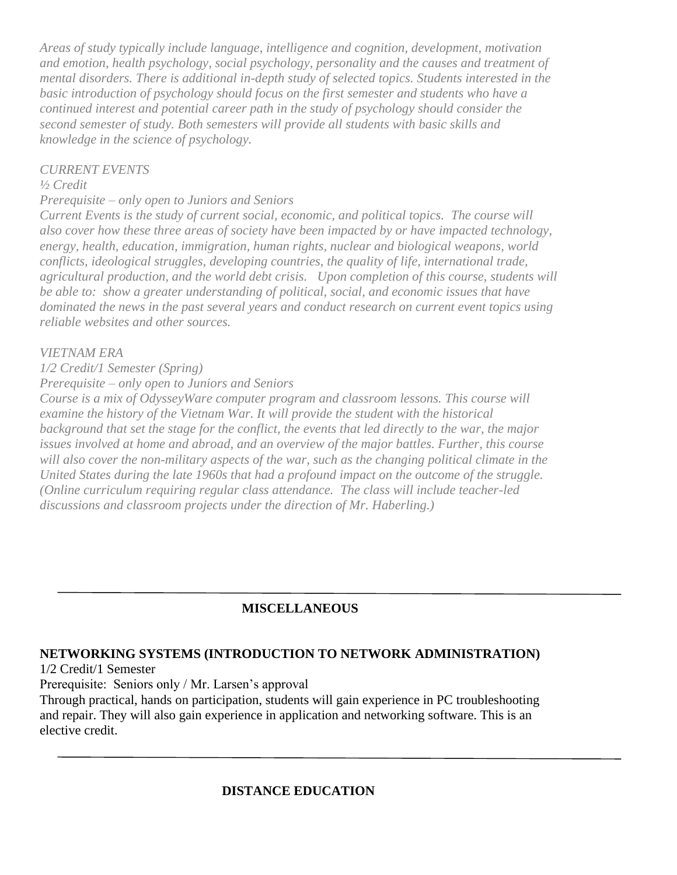*Areas of study typically include language, intelligence and cognition, development, motivation and emotion, health psychology, social psychology, personality and the causes and treatment of mental disorders. There is additional in-depth study of selected topics. Students interested in the basic introduction of psychology should focus on the first semester and students who have a continued interest and potential career path in the study of psychology should consider the second semester of study. Both semesters will provide all students with basic skills and knowledge in the science of psychology.*

#### *CURRENT EVENTS*

## *½ Credit*

*Prerequisite – only open to Juniors and Seniors*

*Current Events is the study of current social, economic, and political topics. The course will also cover how these three areas of society have been impacted by or have impacted technology, energy, health, education, immigration, human rights, nuclear and biological weapons, world conflicts, ideological struggles, developing countries, the quality of life, international trade, agricultural production, and the world debt crisis. Upon completion of this course, students will be able to: show a greater understanding of political, social, and economic issues that have dominated the news in the past several years and conduct research on current event topics using reliable websites and other sources.* 

## *VIETNAM ERA*

*1/2 Credit/1 Semester (Spring)*

*Prerequisite – only open to Juniors and Seniors*

*Course is a mix of OdysseyWare computer program and classroom lessons. This course will examine the history of the Vietnam War. It will provide the student with the historical background that set the stage for the conflict, the events that led directly to the war, the major issues involved at home and abroad, and an overview of the major battles. Further, this course will also cover the non-military aspects of the war, such as the changing political climate in the United States during the late 1960s that had a profound impact on the outcome of the struggle. (Online curriculum requiring regular class attendance. The class will include teacher-led discussions and classroom projects under the direction of Mr. Haberling.)*

## **MISCELLANEOUS**

## **NETWORKING SYSTEMS (INTRODUCTION TO NETWORK ADMINISTRATION)**

1/2 Credit/1 Semester

Prerequisite: Seniors only / Mr. Larsen's approval

Through practical, hands on participation, students will gain experience in PC troubleshooting and repair. They will also gain experience in application and networking software. This is an elective credit.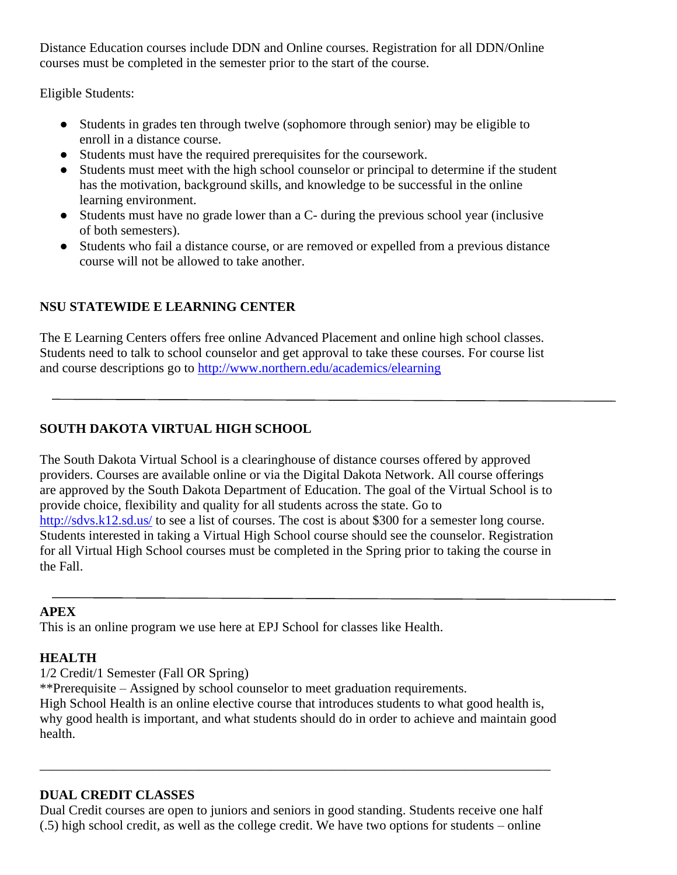Distance Education courses include DDN and Online courses. Registration for all DDN/Online courses must be completed in the semester prior to the start of the course.

Eligible Students:

- Students in grades ten through twelve (sophomore through senior) may be eligible to enroll in a distance course.
- Students must have the required prerequisites for the coursework.
- Students must meet with the high school counselor or principal to determine if the student has the motivation, background skills, and knowledge to be successful in the online learning environment.
- Students must have no grade lower than a C- during the previous school year (inclusive of both semesters).
- Students who fail a distance course, or are removed or expelled from a previous distance course will not be allowed to take another.

## **NSU STATEWIDE E LEARNING CENTER**

The E Learning Centers offers free online Advanced Placement and online high school classes. Students need to talk to school counselor and get approval to take these courses. For course list and course descriptions go to<http://www.northern.edu/academics/elearning>

## **SOUTH DAKOTA VIRTUAL HIGH SCHOOL**

The South Dakota Virtual School is a clearinghouse of distance courses offered by approved providers. Courses are available online or via the Digital Dakota Network. All course offerings are approved by the South Dakota Department of Education. The goal of the Virtual School is to provide choice, flexibility and quality for all students across the state. Go to http://sdvs.k12.sd.us/ to see a list of courses. The cost is about \$300 for a semester long course. Students interested in taking a Virtual High School course should see the counselor. Registration for all Virtual High School courses must be completed in the Spring prior to taking the course in the Fall.

#### **APEX**

This is an online program we use here at EPJ School for classes like Health.

## **HEALTH**

1/2 Credit/1 Semester (Fall OR Spring)

\*\*Prerequisite – Assigned by school counselor to meet graduation requirements.

High School Health is an online elective course that introduces students to what good health is, why good health is important, and what students should do in order to achieve and maintain good health.

## **DUAL CREDIT CLASSES**

Dual Credit courses are open to juniors and seniors in good standing. Students receive one half (.5) high school credit, as well as the college credit. We have two options for students – online

\_\_\_\_\_\_\_\_\_\_\_\_\_\_\_\_\_\_\_\_\_\_\_\_\_\_\_\_\_\_\_\_\_\_\_\_\_\_\_\_\_\_\_\_\_\_\_\_\_\_\_\_\_\_\_\_\_\_\_\_\_\_\_\_\_\_\_\_\_\_\_\_\_\_\_\_\_